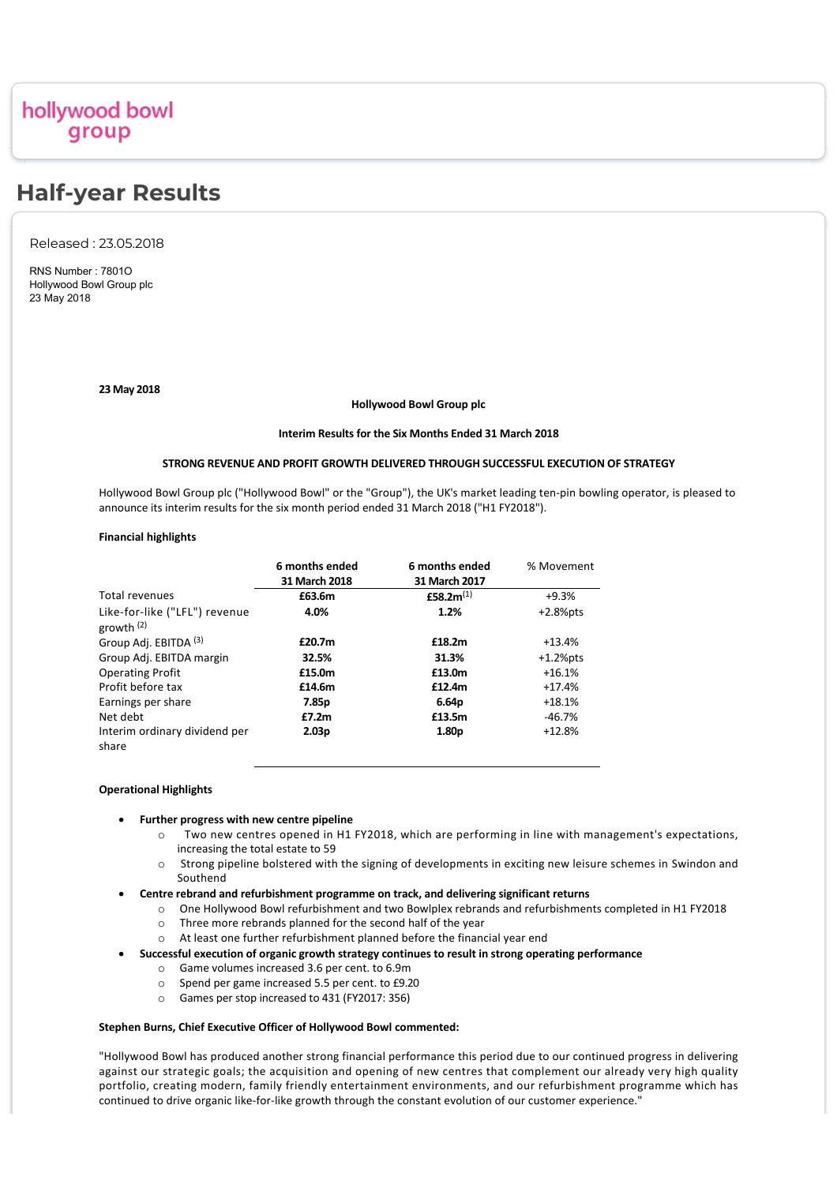# hollywood bowl group

# **Half-year Results**

Released : 23.05.2018

RNS Number : 7801O Hollywood Bowl Group plc 23 May 2018

# **23 May 2018**

# **Hollywood Bowl Group plc**

# **Interim Results for the Six Months Ended 31 March 2018**

# **STRONG REVENUE AND PROFIT GROWTH DELIVERED THROUGH SUCCESSFUL EXECUTION OF STRATEGY**

Hollywood Bowl Group plc ("Hollywood Bowl" or the "Group"), the UK's market leading ten‐pin bowling operator, is pleased to announce its interim results for the six month period ended 31 March 2018 ("H1 FY2018").

# **Financial highlights**

|                                               | 6 months ended<br>31 March 2018 | 6 months ended<br>31 March 2017 | % Movement  |
|-----------------------------------------------|---------------------------------|---------------------------------|-------------|
| Total revenues                                | £63.6m                          | £58.2 $m^{(1)}$                 | $+9.3%$     |
| Like-for-like ("LFL") revenue<br>growth $(2)$ | 4.0%                            | 1.2%                            | $+2.8%$ pts |
| Group Adj. EBITDA (3)                         | £20.7m                          | £18.2m                          | $+13.4%$    |
| Group Adj. EBITDA margin                      | 32.5%                           | 31.3%                           | $+1.2%$ pts |
| <b>Operating Profit</b>                       | £15.0m                          | £13.0m                          | $+16.1%$    |
| Profit before tax                             | £14.6m                          | £12.4m                          | $+17.4%$    |
| Earnings per share                            | 7.85p                           | 6.64p                           | $+18.1%$    |
| Net debt                                      | £7.2m                           | £13.5m                          | -46.7%      |
| Interim ordinary dividend per<br>share        | 2.03 <sub>p</sub>               | 1.80 <sub>p</sub>               | $+12.8%$    |

# **Operational Highlights**

# · **Further progress with new centre pipeline**

- o Two new centres opened in H1 FY2018, which are performing in line with management's expectations, increasing the total estate to 59
- o Strong pipeline bolstered with the signing of developments in exciting new leisure schemes in Swindon and Southend
- · **Centre rebrand and refurbishment programme on track, and delivering significant returns** 
	- o One Hollywood Bowl refurbishment and two Bowlplex rebrands and refurbishments completed in H1 FY2018
	- o Three more rebrands planned for the second half of the year
	- o At least one further refurbishment planned before the financial year end
- · **Successful execution of organic growth strategy continues to result in strong operating performance**
	- o Game volumes increased 3.6 per cent. to 6.9m
	- o Spend per game increased 5.5 per cent. to £9.20
	- o Games per stop increased to 431 (FY2017: 356)

# **Stephen Burns, Chief Executive Officer of Hollywood Bowl commented:**

"Hollywood Bowl has produced another strong financial performance this period due to our continued progress in delivering against our strategic goals; the acquisition and opening of new centres that complement our already very high quality portfolio, creating modern, family friendly entertainment environments, and our refurbishment programme which has continued to drive organic like-for-like growth through the constant evolution of our customer experience."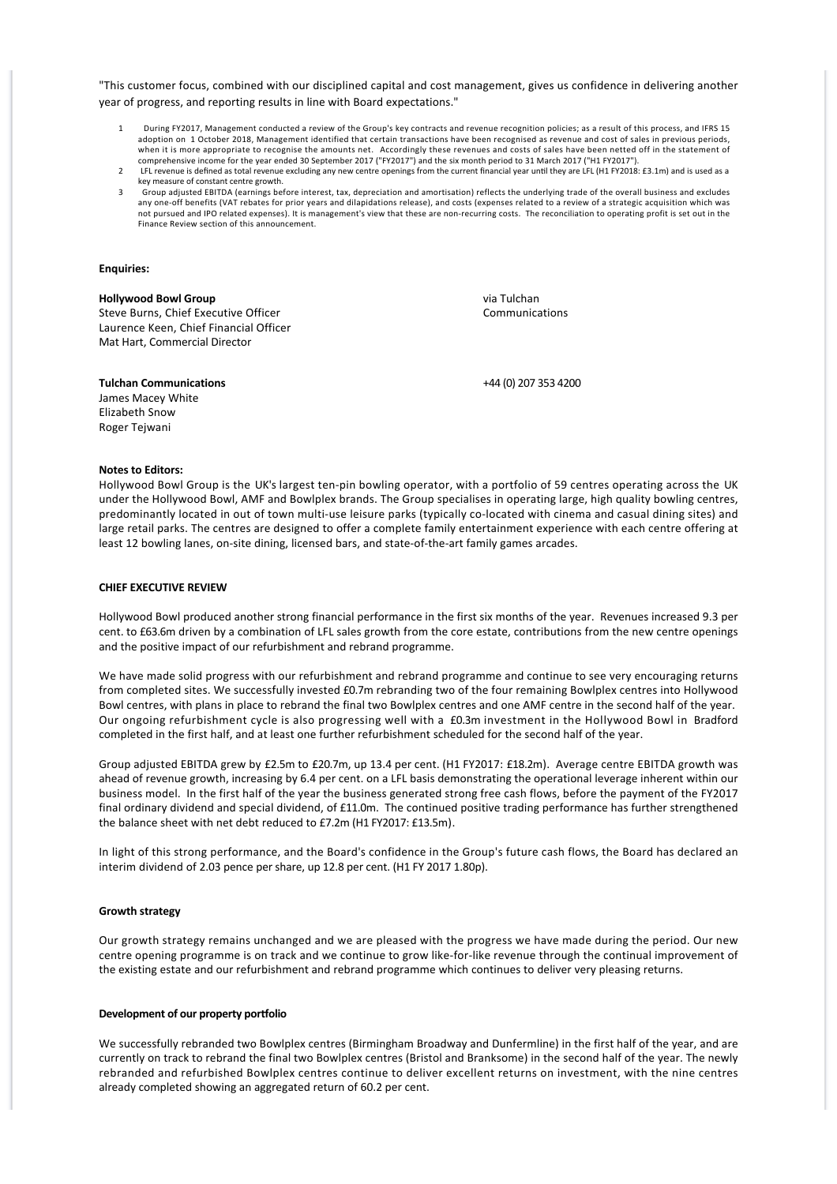"This customer focus, combined with our disciplined capital and cost management, gives us confidence in delivering another year of progress, and reporting results in line with Board expectations."

- 1 During FY2017, Management conducted a review of the Group's key contracts and revenue recognition policies; as a result of this process, and IFRS 15 adoption on 1 October 2018, Management identified that certain transactions have been recognised as revenue and cost of sales in previous periods, when it is more appropriate to recognise the amounts net. Accordingly these revenues and costs of sales have been netted off in the statement of comprehensive income for the year ended 30 September 2017 ("FY2017") and the six month period to 31 March 2017 ("H1 FY2017").
- LFL revenue is defined as total revenue excluding any new centre openings from the current financial year until they are LFL (H1 FY2018: £3.1m) and is used as a key measure of constant centre growth.
- 3 Group adjusted EBITDA (earnings before interest, tax, depreciation and amortisation) reflects the underlying trade of the overall business and excludes any one‐off benefits (VAT rebates for prior years and dilapidations release), and costs (expenses related to a review of a strategic acquisition which was not pursued and IPO related expenses). It is management's view that these are non‐recurring costs. The reconciliation to operating profit is set out in the Finance Review section of this announcement.

# **Enquiries:**

# **Hollywood Bowl Group**

Steve Burns, Chief Executive Officer Laurence Keen, Chief Financial Officer Mat Hart, Commercial Director

via Tulchan Communications

# **Tulchan Communications**

James Macey White Elizabeth Snow Roger Tejwani

+44 (0) 207 353 4200

### **Notes to Editors:**

Hollywood Bowl Group is the UK's largest ten-pin bowling operator, with a portfolio of 59 centres operating across the UK under the Hollywood Bowl, AMF and Bowlplex brands. The Group specialises in operating large, high quality bowling centres, predominantly located in out of town multi-use leisure parks (typically co-located with cinema and casual dining sites) and large retail parks. The centres are designed to offer a complete family entertainment experience with each centre offering at least 12 bowling lanes, on‐site dining, licensed bars, and state‐of‐the‐art family games arcades.

# **CHIEF EXECUTIVE REVIEW**

Hollywood Bowl produced another strong financial performance in the first six months of the year. Revenues increased 9.3 per cent. to £63.6m driven by a combination of LFL sales growth from the core estate, contributions from the new centre openings and the positive impact of our refurbishment and rebrand programme.

We have made solid progress with our refurbishment and rebrand programme and continue to see very encouraging returns from completed sites. We successfully invested £0.7m rebranding two of the four remaining Bowlplex centres into Hollywood Bowl centres, with plans in place to rebrand the final two Bowlplex centres and one AMF centre in the second half of the year. Our ongoing refurbishment cycle is also progressing well with a £0.3m investment in the Hollywood Bowl in Bradford completed in the first half, and at least one further refurbishment scheduled for the second half of the year.

Group adjusted EBITDA grew by £2.5m to £20.7m, up 13.4 per cent. (H1 FY2017: £18.2m). Average centre EBITDA growth was ahead of revenue growth, increasing by 6.4 per cent. on a LFL basis demonstrating the operational leverage inherent within our business model. In the first half of the year the business generated strong free cash flows, before the payment of the FY2017 final ordinary dividend and special dividend, of £11.0m. The continued positive trading performance has further strengthened the balance sheet with net debt reduced to £7.2m (H1 FY2017: £13.5m).

In light of this strong performance, and the Board's confidence in the Group's future cash flows, the Board has declared an interim dividend of 2.03 pence per share, up 12.8 per cent. (H1 FY 2017 1.80p).

### **Growth strategy**

Our growth strategy remains unchanged and we are pleased with the progress we have made during the period. Our new centre opening programme is on track and we continue to grow like-for-like revenue through the continual improvement of the existing estate and our refurbishment and rebrand programme which continues to deliver very pleasing returns.

# **Development of our property portfolio**

We successfully rebranded two Bowlplex centres (Birmingham Broadway and Dunfermline) in the first half of the year, and are currently on track to rebrand the final two Bowlplex centres (Bristol and Branksome) in the second half of the year. The newly rebranded and refurbished Bowlplex centres continue to deliver excellent returns on investment, with the nine centres already completed showing an aggregated return of 60.2 per cent.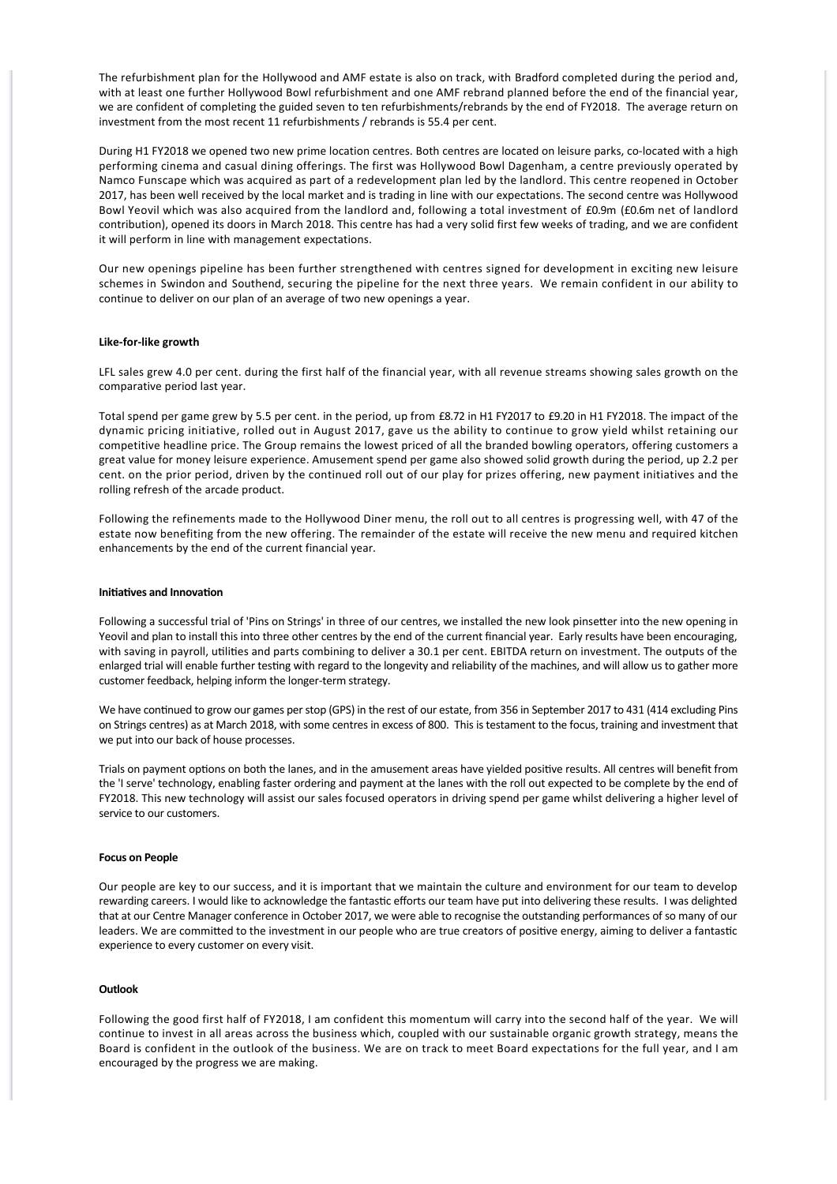The refurbishment plan for the Hollywood and AMF estate is also on track, with Bradford completed during the period and, with at least one further Hollywood Bowl refurbishment and one AMF rebrand planned before the end of the financial year, we are confident of completing the guided seven to ten refurbishments/rebrands by the end of FY2018. The average return on investment from the most recent 11 refurbishments / rebrands is 55.4 per cent.

During H1 FY2018 we opened two new prime location centres. Both centres are located on leisure parks, co-located with a high performing cinema and casual dining offerings. The first was Hollywood Bowl Dagenham, a centre previously operated by Namco Funscape which was acquired as part of a redevelopment plan led by the landlord. This centre reopened in October 2017, has been well received by the local market and is trading in line with our expectations. The second centre was Hollywood Bowl Yeovil which was also acquired from the landlord and, following a total investment of £0.9m (£0.6m net of landlord contribution), opened its doors in March 2018. This centre has had a very solid first few weeks of trading, and we are confident it will perform in line with management expectations.

Our new openings pipeline has been further strengthened with centres signed for development in exciting new leisure schemes in Swindon and Southend, securing the pipeline for the next three years. We remain confident in our ability to continue to deliver on our plan of an average of two new openings a year.

# **Like‐for‐like growth**

LFL sales grew 4.0 per cent. during the first half of the financial year, with all revenue streams showing sales growth on the comparative period last year.

Total spend per game grew by 5.5 per cent. in the period, up from £8.72 in H1 FY2017 to £9.20 in H1 FY2018. The impact of the dynamic pricing initiative, rolled out in August 2017, gave us the ability to continue to grow yield whilst retaining our competitive headline price. The Group remains the lowest priced of all the branded bowling operators, offering customers a great value for money leisure experience. Amusement spend per game also showed solid growth during the period, up 2.2 per cent. on the prior period, driven by the continued roll out of our play for prizes offering, new payment initiatives and the rolling refresh of the arcade product.

Following the refinements made to the Hollywood Diner menu, the roll out to all centres is progressing well, with 47 of the estate now benefiting from the new offering. The remainder of the estate will receive the new menu and required kitchen enhancements by the end of the current financial year.

# **Initiatives and Innovation**

Following a successful trial of 'Pins on Strings' in three of our centres, we installed the new look pinsetter into the new opening in Yeovil and plan to install this into three other centres by the end of the current financial year. Early results have been encouraging, with saving in payroll, utilities and parts combining to deliver a 30.1 per cent. EBITDA return on investment. The outputs of the enlarged trial will enable further testing with regard to the longevity and reliability of the machines, and will allow us to gather more customer feedback, helping inform the longer‐term strategy.

We have continued to grow our games per stop (GPS) in the rest of our estate, from 356 in September 2017 to 431 (414 excluding Pins on Strings centres) as at March 2018, with some centres in excess of 800. This is testament to the focus, training and investment that we put into our back of house processes.

Trials on payment options on both the lanes, and in the amusement areas have yielded positive results. All centres will benefit from the 'I serve' technology, enabling faster ordering and payment at the lanes with the roll out expected to be complete by the end of FY2018. This new technology will assist our sales focused operators in driving spend per game whilst delivering a higher level of service to our customers.

# **Focus on People**

Our people are key to our success, and it is important that we maintain the culture and environment for our team to develop rewarding careers. I would like to acknowledge the fantastic efforts our team have put into delivering these results. I was delighted that at our Centre Manager conference in October 2017, we were able to recognise the outstanding performances of so many of our leaders. We are committed to the investment in our people who are true creators of positive energy, aiming to deliver a fantastic experience to every customer on every visit.

# **Outlook**

Following the good first half of FY2018, I am confident this momentum will carry into the second half of the year. We will continue to invest in all areas across the business which, coupled with our sustainable organic growth strategy, means the Board is confident in the outlook of the business. We are on track to meet Board expectations for the full year, and I am encouraged by the progress we are making.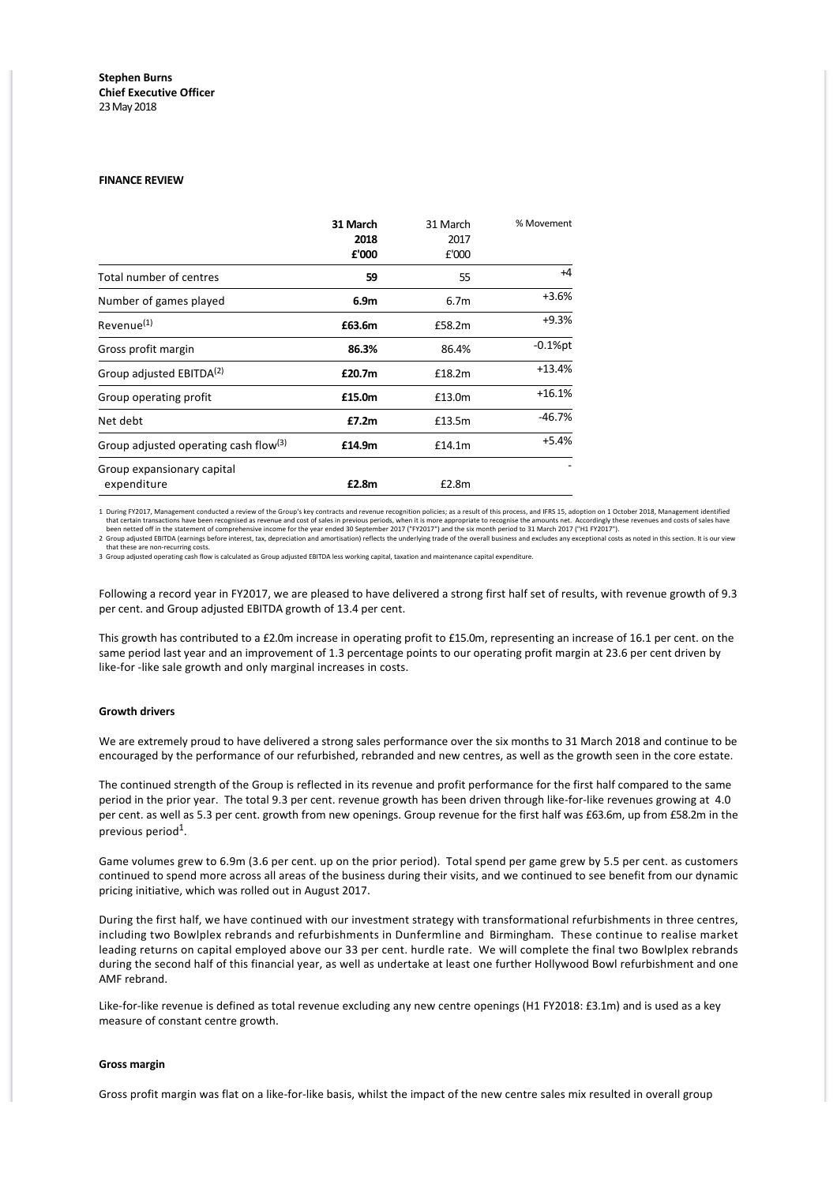# **Stephen Burns Chief Executive Officer** 23 May 2018

# **FINANCE REVIEW**

|                                                   | 31 March<br>2018<br>£'000 | 31 March<br>2017<br>£'000 | % Movement |
|---------------------------------------------------|---------------------------|---------------------------|------------|
| <b>Total number of centres</b>                    | 59                        | 55                        | $+4$       |
| Number of games played                            | 6.9m                      | 6.7 <sub>m</sub>          | $+3.6%$    |
| Revenue <sup>(1)</sup>                            | £63.6m                    | £58.2m                    | $+9.3%$    |
| Gross profit margin                               | 86.3%                     | 86.4%                     | $-0.1%$ pt |
| Group adjusted EBITDA <sup>(2)</sup>              | £20.7m                    | £18.2m                    | $+13.4%$   |
| Group operating profit                            | £15.0m                    | £13.0m                    | $+16.1%$   |
| Net debt                                          | £7.2m                     | £13.5m                    | $-46.7%$   |
| Group adjusted operating cash flow <sup>(3)</sup> | £14.9m                    | £14.1m                    | $+5.4%$    |
| Group expansionary capital<br>expenditure         | £2.8m                     | £2.8m                     |            |

1 During FY2017, Management conducted a review of the Group's key contracts and revenue recognition policies; as a result of this process, and IFRS 15, adoption on 1 October 2018, Management identified that certain transactions have been recognised as revenue and cost of sales in previous periods, when it is more appropriate to recognise the amounts net. Accordingly these revenues and costs of sales have been created of

that these are non-recurring costs.<br>3 Group adjusted operating cash flow is calculated as Group adjusted EBITDA less working capital, taxation and maintenance capital expenditure.

Following a record year in FY2017, we are pleased to have delivered a strong first half set of results, with revenue growth of 9.3 per cent. and Group adjusted EBITDA growth of 13.4 per cent.

This growth has contributed to a £2.0m increase in operating profit to £15.0m, representing an increase of 16.1 per cent. on the same period last year and an improvement of 1.3 percentage points to our operating profit margin at 23.6 per cent driven by like-for -like sale growth and only marginal increases in costs.

# **Growth drivers**

We are extremely proud to have delivered a strong sales performance over the six months to 31 March 2018 and continue to be encouraged by the performance of our refurbished, rebranded and new centres, as well as the growth seen in the core estate.

The continued strength of the Group is reflected in its revenue and profit performance for the first half compared to the same period in the prior year. The total 9.3 per cent. revenue growth has been driven through like-for-like revenues growing at 4.0 per cent. as well as 5.3 per cent. growth from new openings. Group revenue for the first half was £63.6m, up from £58.2m in the previous period $^1$ .

Game volumes grew to 6.9m (3.6 per cent. up on the prior period). Total spend per game grew by 5.5 per cent. as customers continued to spend more across all areas of the business during their visits, and we continued to see benefit from our dynamic pricing initiative, which was rolled out in August 2017.

During the first half, we have continued with our investment strategy with transformational refurbishments in three centres, including two Bowlplex rebrands and refurbishments in Dunfermline and Birmingham. These continue to realise market leading returns on capital employed above our 33 per cent. hurdle rate. We will complete the final two Bowlplex rebrands during the second half of this financial year, as well as undertake at least one further Hollywood Bowl refurbishment and one AMF rebrand.

Like-for-like revenue is defined as total revenue excluding any new centre openings (H1 FY2018: £3.1m) and is used as a key measure of constant centre growth.

### **Gross margin**

Gross profit margin was flat on a like‐for‐like basis, whilst the impact of the new centre sales mix resulted in overall group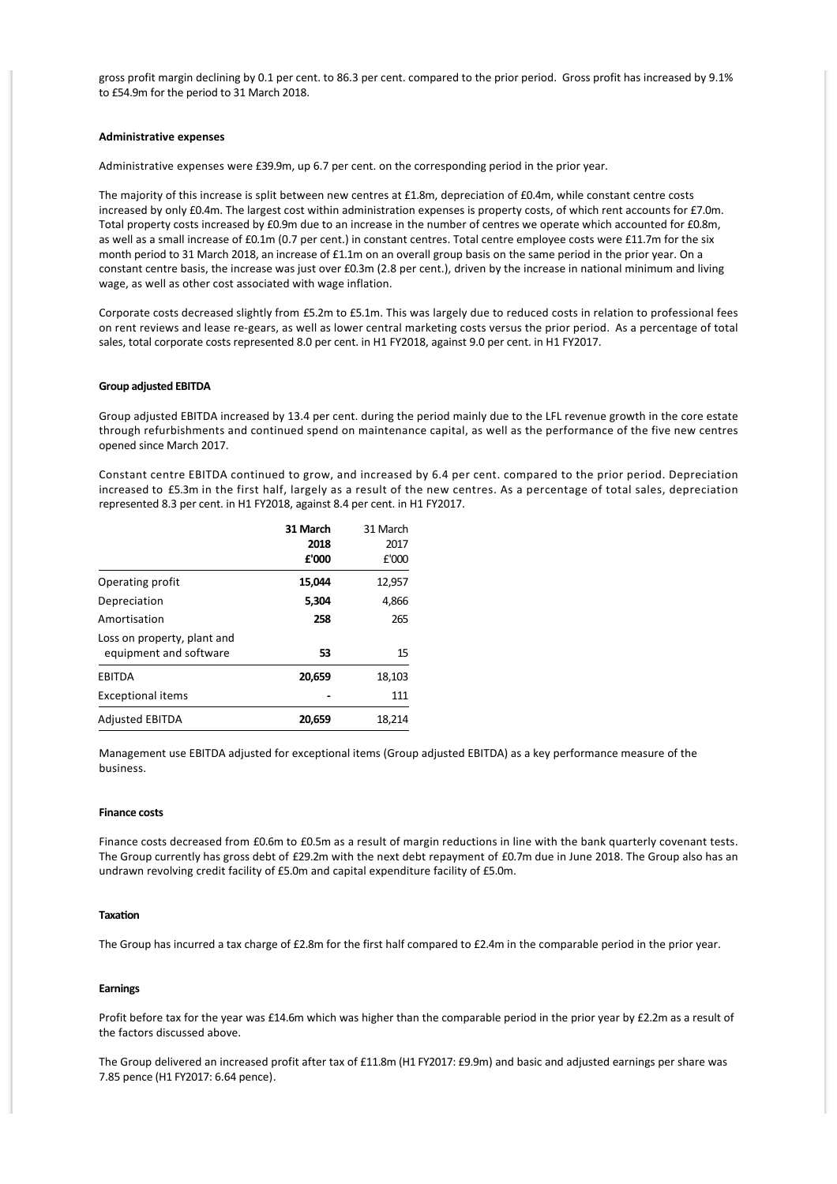gross profit margin declining by 0.1 per cent. to 86.3 per cent. compared to the prior period. Gross profit has increased by 9.1% to £54.9m for the period to 31 March 2018.

# **Administrative expenses**

Administrative expenses were £39.9m, up 6.7 per cent. on the corresponding period in the prior year.

The majority of this increase is split between new centres at £1.8m, depreciation of £0.4m, while constant centre costs increased by only £0.4m. The largest cost within administration expenses is property costs, of which rent accounts for £7.0m. Total property costs increased by £0.9m due to an increase in the number of centres we operate which accounted for £0.8m, as well as a small increase of £0.1m (0.7 per cent.) in constant centres. Total centre employee costs were £11.7m for the six month period to 31 March 2018, an increase of £1.1m on an overall group basis on the same period in the prior year. On a constant centre basis, the increase was just over £0.3m (2.8 per cent.), driven by the increase in national minimum and living wage, as well as other cost associated with wage inflation.

Corporate costs decreased slightly from £5.2m to £5.1m. This was largely due to reduced costs in relation to professional fees on rent reviews and lease re‐gears, as well as lower central marketing costs versus the prior period. As a percentage of total sales, total corporate costs represented 8.0 per cent. in H1 FY2018, against 9.0 per cent. in H1 FY2017.

### **Group adjusted EBITDA**

Group adjusted EBITDA increased by 13.4 per cent. during the period mainly due to the LFL revenue growth in the core estate through refurbishments and continued spend on maintenance capital, as well as the performance of the five new centres opened since March 2017.

Constant centre EBITDA continued to grow, and increased by 6.4 per cent. compared to the prior period. Depreciation increased to £5.3m in the first half, largely as a result of the new centres. As a percentage of total sales, depreciation represented 8.3 per cent. in H1 FY2018, against 8.4 per cent. in H1 FY2017.

|                             | 31 March | 31 March |
|-----------------------------|----------|----------|
|                             | 2018     | 2017     |
|                             | £'000    | £'000    |
| Operating profit            | 15,044   | 12,957   |
| Depreciation                | 5,304    | 4,866    |
| Amortisation                | 258      | 265      |
| Loss on property, plant and |          |          |
| equipment and software      | 53       | 15       |
| <b>EBITDA</b>               | 20,659   | 18,103   |
| <b>Exceptional items</b>    |          | 111      |
| <b>Adjusted EBITDA</b>      | 20,659   | 18,214   |

Management use EBITDA adjusted for exceptional items (Group adjusted EBITDA) as a key performance measure of the business.

# **Finance costs**

Finance costs decreased from £0.6m to £0.5m as a result of margin reductions in line with the bank quarterly covenant tests. The Group currently has gross debt of £29.2m with the next debt repayment of £0.7m due in June 2018. The Group also has an undrawn revolving credit facility of £5.0m and capital expenditure facility of £5.0m.

# **Taxation**

The Group has incurred a tax charge of £2.8m for the first half compared to £2.4m in the comparable period in the prior year.

# **Earnings**

Profit before tax for the year was £14.6m which was higher than the comparable period in the prior year by £2.2m as a result of the factors discussed above.

The Group delivered an increased profit after tax of £11.8m (H1 FY2017: £9.9m) and basic and adjusted earnings per share was 7.85 pence (H1 FY2017: 6.64 pence).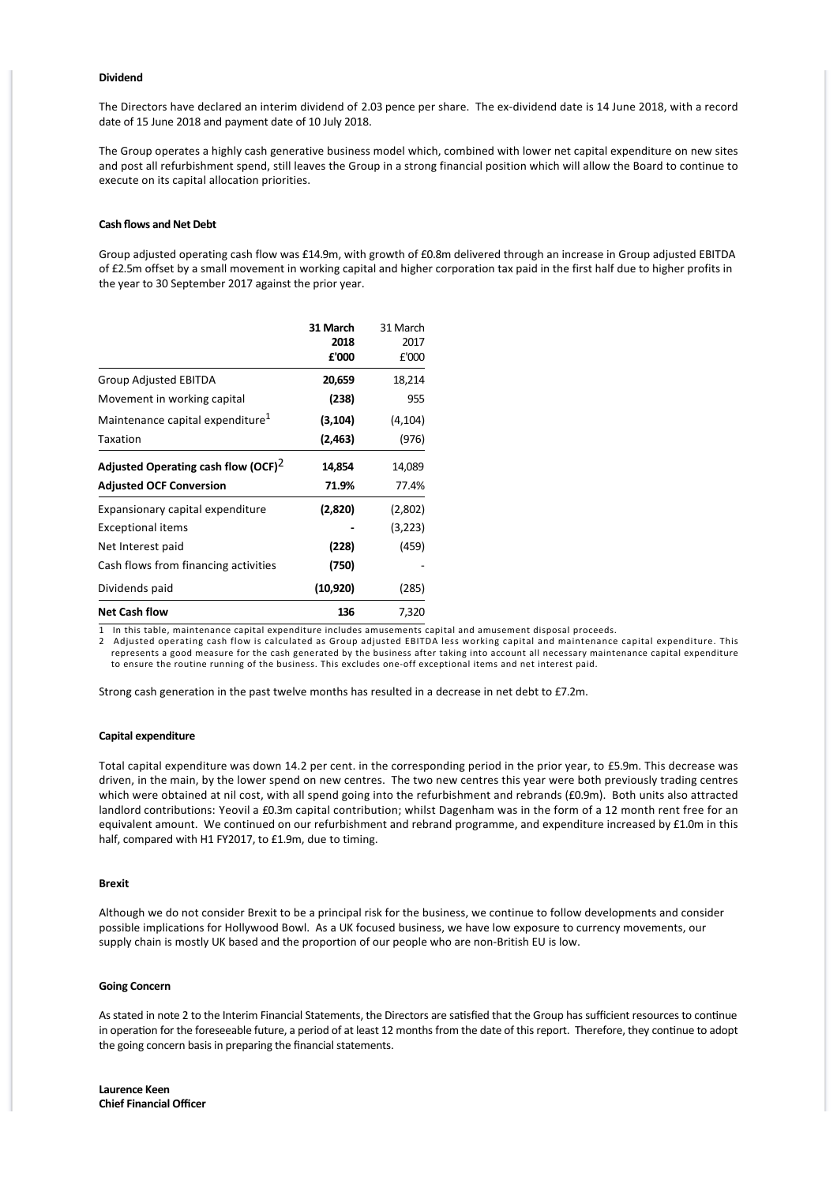### **Dividend**

The Directors have declared an interim dividend of 2.03 pence per share. The ex‐dividend date is 14 June 2018, with a record date of 15 June 2018 and payment date of 10 July 2018.

The Group operates a highly cash generative business model which, combined with lower net capital expenditure on new sites and post all refurbishment spend, still leaves the Group in a strong financial position which will allow the Board to continue to execute on its capital allocation priorities.

# **Cash flows and Net Debt**

Group adjusted operating cash flow was £14.9m, with growth of £0.8m delivered through an increase in Group adjusted EBITDA of £2.5m offset by a small movement in working capital and higher corporation tax paid in the first half due to higher profits in the year to 30 September 2017 against the prior year.

|                                                 | 31 March  | 31 March |
|-------------------------------------------------|-----------|----------|
|                                                 | 2018      | 2017     |
|                                                 | £'000     | £'000    |
| Group Adjusted EBITDA                           | 20,659    | 18,214   |
| Movement in working capital                     | (238)     | 955      |
| Maintenance capital expenditure <sup>1</sup>    | (3, 104)  | (4, 104) |
| Taxation                                        | (2,463)   | (976)    |
| Adjusted Operating cash flow (OCF) <sup>2</sup> | 14,854    | 14,089   |
| <b>Adjusted OCF Conversion</b>                  | 71.9%     | 77.4%    |
| Expansionary capital expenditure                | (2,820)   | (2,802)  |
| <b>Exceptional items</b>                        |           | (3,223)  |
| Net Interest paid                               | (228)     | (459)    |
| Cash flows from financing activities            | (750)     |          |
| Dividends paid                                  | (10, 920) | (285)    |
| <b>Net Cash flow</b>                            | 136       | 7,320    |

1 In this table, maintenance capital expenditure includes amusements capital and amusement disposal proceeds.

2 Adjusted operating cash flow is calculated as Group adjusted EBITDA less working capital and maintenance capital expenditure. This represents a good measure for the cash generated by the business after taking into account all necessary maintenance capital expenditure to ensure the routine running of the business. This excludes one‐off exceptional items and net interest paid.

Strong cash generation in the past twelve months has resulted in a decrease in net debt to £7.2m.

### **Capital expenditure**

Total capital expenditure was down 14.2 per cent. in the corresponding period in the prior year, to £5.9m. This decrease was driven, in the main, by the lower spend on new centres. The two new centres this year were both previously trading centres which were obtained at nil cost, with all spend going into the refurbishment and rebrands (£0.9m). Both units also attracted landlord contributions: Yeovil a £0.3m capital contribution; whilst Dagenham was in the form of a 12 month rent free for an equivalent amount. We continued on our refurbishment and rebrand programme, and expenditure increased by £1.0m in this half, compared with H1 FY2017, to £1.9m, due to timing.

# **Brexit**

Although we do not consider Brexit to be a principal risk for the business, we continue to follow developments and consider possible implications for Hollywood Bowl. As a UK focused business, we have low exposure to currency movements, our supply chain is mostly UK based and the proportion of our people who are non-British EU is low.

# **Going Concern**

As stated in note 2 to the Interim Financial Statements, the Directors are satisfied that the Group has sufficient resources to continue in operation for the foreseeable future, a period of at least 12 months from the date of this report. Therefore, they continue to adopt the going concern basis in preparing the financial statements.

**Laurence Keen Chief Financial Officer**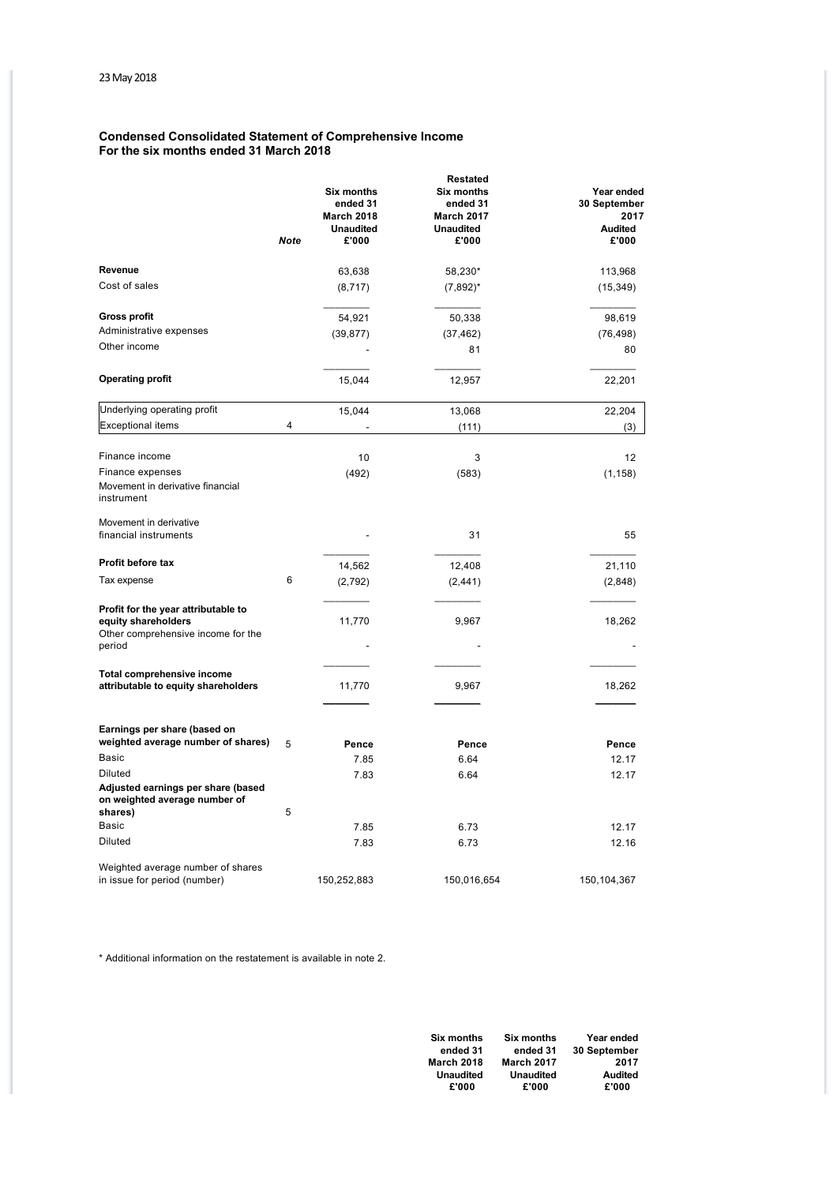# **Condensed Consolidated Statement of Comprehensive Income For the six months ended 31 March 2018**

|                                                                                                            | <b>Note</b> | <b>Six months</b><br>ended 31<br><b>March 2018</b><br><b>Unaudited</b><br>£'000 | <b>Restated</b><br><b>Six months</b><br>ended 31<br><b>March 2017</b><br><b>Unaudited</b><br>£'000 | Year ended<br>30 September<br>2017<br><b>Audited</b><br>£'000 |
|------------------------------------------------------------------------------------------------------------|-------------|---------------------------------------------------------------------------------|----------------------------------------------------------------------------------------------------|---------------------------------------------------------------|
| Revenue                                                                                                    |             | 63,638                                                                          | 58,230*                                                                                            | 113,968                                                       |
| Cost of sales                                                                                              |             | (8,717)                                                                         | $(7,892)^*$                                                                                        | (15, 349)                                                     |
| <b>Gross profit</b>                                                                                        |             | 54,921                                                                          | 50,338                                                                                             | 98,619                                                        |
| Administrative expenses                                                                                    |             | (39, 877)                                                                       | (37, 462)                                                                                          | (76, 498)                                                     |
| Other income                                                                                               |             |                                                                                 | 81                                                                                                 | 80                                                            |
| <b>Operating profit</b>                                                                                    |             | 15,044                                                                          | 12,957                                                                                             | 22,201                                                        |
| Underlying operating profit                                                                                |             | 15,044                                                                          | 13,068                                                                                             | 22,204                                                        |
| <b>Exceptional items</b>                                                                                   | 4           |                                                                                 | (111)                                                                                              | (3)                                                           |
|                                                                                                            |             |                                                                                 |                                                                                                    |                                                               |
| Finance income                                                                                             |             | 10                                                                              | 3                                                                                                  | 12                                                            |
| Finance expenses<br>Movement in derivative financial<br>instrument                                         |             | (492)                                                                           | (583)                                                                                              | (1, 158)                                                      |
| Movement in derivative                                                                                     |             |                                                                                 |                                                                                                    |                                                               |
| financial instruments                                                                                      |             |                                                                                 | 31                                                                                                 | 55                                                            |
| Profit before tax                                                                                          |             | 14,562                                                                          | 12,408                                                                                             | 21,110                                                        |
| Tax expense                                                                                                | 6           | (2,792)                                                                         | (2, 441)                                                                                           | (2,848)                                                       |
| Profit for the year attributable to<br>equity shareholders<br>Other comprehensive income for the<br>period |             | 11,770                                                                          | 9,967                                                                                              | 18,262                                                        |
| Total comprehensive income<br>attributable to equity shareholders                                          |             | 11,770                                                                          | 9,967                                                                                              | 18,262                                                        |
| Earnings per share (based on                                                                               |             |                                                                                 |                                                                                                    |                                                               |
| weighted average number of shares)                                                                         | 5           | Pence                                                                           | Pence                                                                                              | Pence                                                         |
| Basic                                                                                                      |             | 7.85                                                                            | 6.64                                                                                               | 12.17                                                         |
| <b>Diluted</b><br>Adjusted earnings per share (based<br>on weighted average number of                      |             | 7.83                                                                            | 6.64                                                                                               | 12.17                                                         |
| shares)<br>Basic                                                                                           | 5           |                                                                                 |                                                                                                    |                                                               |
| <b>Diluted</b>                                                                                             |             | 7.85<br>7.83                                                                    | 6.73<br>6.73                                                                                       | 12.17<br>12.16                                                |
| Weighted average number of shares<br>in issue for period (number)                                          |             | 150,252,883                                                                     | 150,016,654                                                                                        | 150, 104, 367                                                 |

\* Additional information on the restatement is available in note 2.

| <b>Six months</b> | <b>Six months</b> | Year ended     |
|-------------------|-------------------|----------------|
| ended 31          | ended 31          | 30 September   |
| <b>March 2018</b> | <b>March 2017</b> | 2017           |
| <b>Unaudited</b>  | <b>Unaudited</b>  | <b>Audited</b> |
| £'000             | £'000             | £'000          |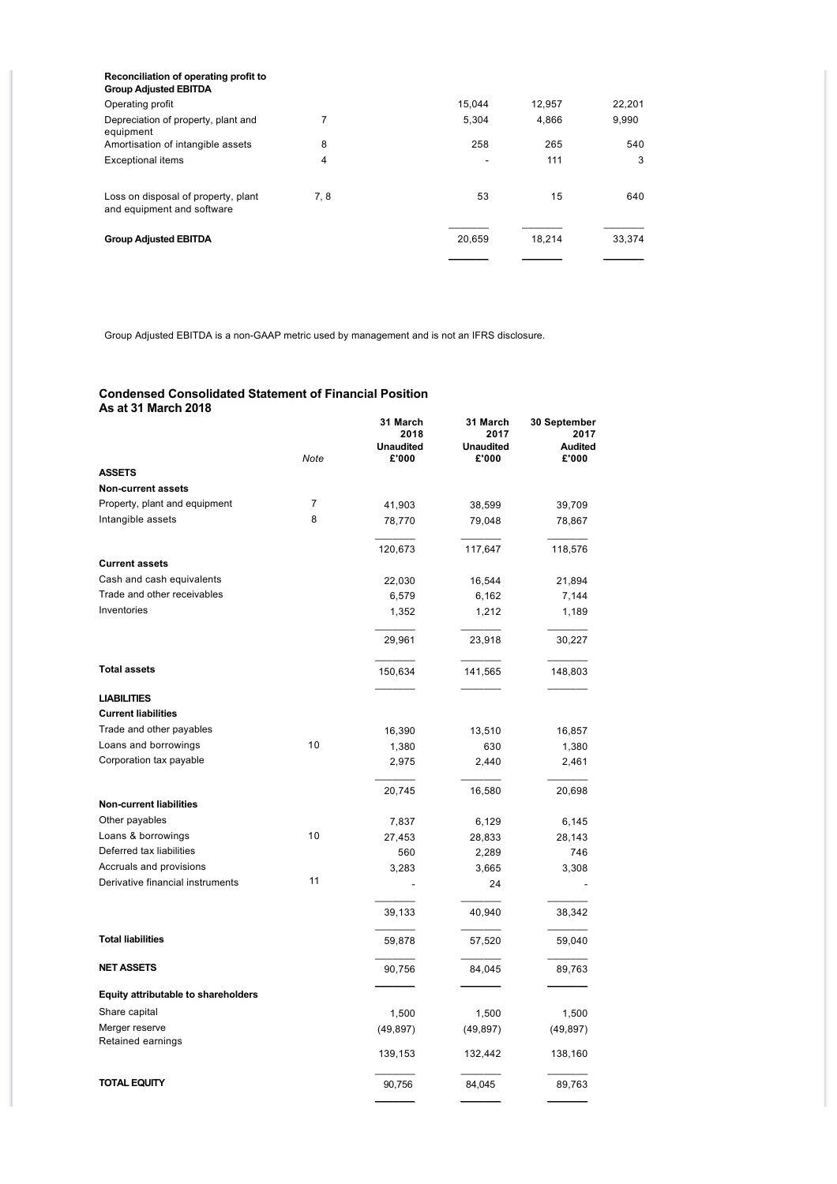| Reconciliation of operating profit to<br><b>Group Adjusted EBITDA</b> |      |        |        |        |
|-----------------------------------------------------------------------|------|--------|--------|--------|
| Operating profit                                                      |      | 15.044 | 12,957 | 22,201 |
| Depreciation of property, plant and<br>equipment                      | 7    | 5.304  | 4,866  | 9,990  |
| Amortisation of intangible assets                                     | 8    | 258    | 265    | 540    |
| <b>Exceptional items</b>                                              | 4    |        | 111    | 3      |
| Loss on disposal of property, plant<br>and equipment and software     | 7, 8 | 53     | 15     | 640    |
| <b>Group Adjusted EBITDA</b>                                          |      | 20,659 | 18.214 | 33,374 |
|                                                                       |      |        |        |        |

Group Adjusted EBITDA is a non-GAAP metric used by management and is not an IFRS disclosure.

# **Condensed Consolidated Statement of Financial Position As at 31 March 2018**

|                                            | <b>Note</b> | 31 March<br>2018<br><b>Unaudited</b><br>£'000 | 31 March<br>2017<br><b>Unaudited</b><br>£'000 | 30 September<br>2017<br>Audited<br>£'000 |
|--------------------------------------------|-------------|-----------------------------------------------|-----------------------------------------------|------------------------------------------|
| <b>ASSETS</b>                              |             |                                               |                                               |                                          |
| <b>Non-current assets</b>                  |             |                                               |                                               |                                          |
| Property, plant and equipment              | 7           | 41,903                                        | 38,599                                        | 39,709                                   |
| Intangible assets                          | 8           | 78,770                                        | 79,048                                        | 78,867                                   |
|                                            |             |                                               |                                               |                                          |
|                                            |             | 120,673                                       | 117,647                                       | 118,576                                  |
| <b>Current assets</b>                      |             |                                               |                                               |                                          |
| Cash and cash equivalents                  |             | 22,030                                        | 16,544                                        | 21,894                                   |
| Trade and other receivables                |             | 6,579                                         | 6,162                                         | 7,144                                    |
| Inventories                                |             | 1,352                                         | 1,212                                         | 1,189                                    |
|                                            |             | 29,961                                        | 23,918                                        | 30,227                                   |
| <b>Total assets</b>                        |             | 150,634                                       | 141,565                                       | 148,803                                  |
| <b>LIABILITIES</b>                         |             |                                               |                                               |                                          |
| <b>Current liabilities</b>                 |             |                                               |                                               |                                          |
| Trade and other payables                   |             | 16,390                                        | 13,510                                        | 16,857                                   |
| Loans and borrowings                       | 10          | 1,380                                         | 630                                           | 1,380                                    |
| Corporation tax payable                    |             | 2,975                                         | 2,440                                         | 2,461                                    |
|                                            |             | 20,745                                        | 16,580                                        | 20,698                                   |
| <b>Non-current liabilities</b>             |             |                                               |                                               |                                          |
| Other payables                             |             | 7,837                                         | 6,129                                         | 6,145                                    |
| Loans & borrowings                         | 10          | 27,453                                        | 28,833                                        | 28,143                                   |
| Deferred tax liabilities                   |             | 560                                           | 2,289                                         | 746                                      |
| Accruals and provisions                    | 11          | 3,283                                         | 3,665                                         | 3,308                                    |
| Derivative financial instruments           |             |                                               | 24                                            |                                          |
|                                            |             | 39,133                                        | 40,940                                        | 38,342                                   |
| <b>Total liabilities</b>                   |             | 59,878                                        | 57,520                                        | 59,040                                   |
| <b>NET ASSETS</b>                          |             | 90,756                                        | 84,045                                        | 89,763                                   |
| <b>Equity attributable to shareholders</b> |             |                                               |                                               |                                          |
| Share capital                              |             | 1,500                                         | 1,500                                         | 1,500                                    |
| Merger reserve                             |             | (49, 897)                                     | (49, 897)                                     | (49, 897)                                |
| Retained earnings                          |             | 139,153                                       | 132,442                                       | 138,160                                  |
| <b>TOTAL EQUITY</b>                        |             | 90,756                                        | 84,045                                        | 89,763                                   |
|                                            |             |                                               |                                               |                                          |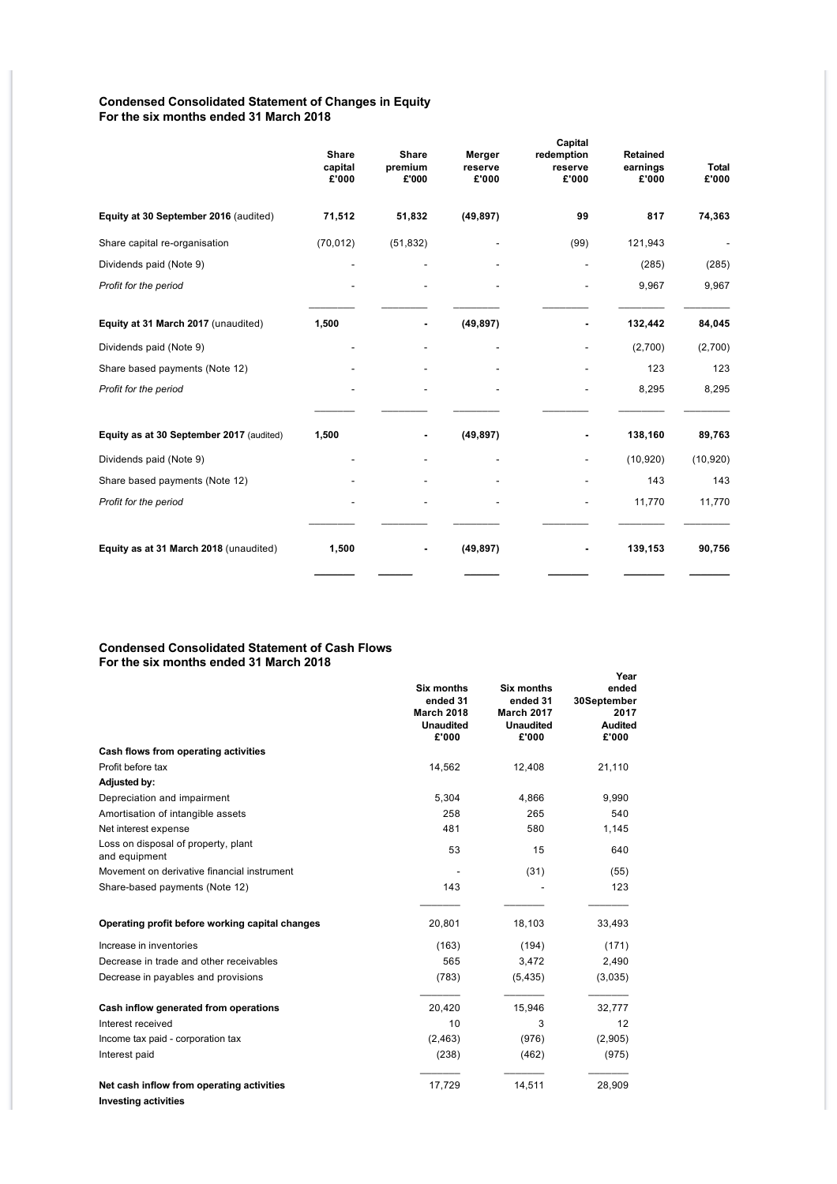# **Condensed Consolidated Statement of Changes in Equity For the six months ended 31 March 2018**

|                                          | <b>Share</b><br>capital<br>£'000 | <b>Share</b><br>premium<br>£'000 | Merger<br>reserve<br>£'000 | Capital<br>redemption<br>reserve<br>£'000 | <b>Retained</b><br>earnings<br>£'000 | <b>Total</b><br>£'000 |
|------------------------------------------|----------------------------------|----------------------------------|----------------------------|-------------------------------------------|--------------------------------------|-----------------------|
| Equity at 30 September 2016 (audited)    | 71,512                           | 51,832                           | (49, 897)                  | 99                                        | 817                                  | 74,363                |
| Share capital re-organisation            | (70, 012)                        | (51, 832)                        |                            | (99)                                      | 121,943                              |                       |
| Dividends paid (Note 9)                  |                                  |                                  |                            |                                           | (285)                                | (285)                 |
| Profit for the period                    |                                  |                                  |                            |                                           | 9,967                                | 9,967                 |
| Equity at 31 March 2017 (unaudited)      | 1,500                            |                                  | (49, 897)                  |                                           | 132,442                              | 84,045                |
| Dividends paid (Note 9)                  |                                  |                                  |                            |                                           | (2,700)                              | (2,700)               |
| Share based payments (Note 12)           |                                  |                                  |                            |                                           | 123                                  | 123                   |
| Profit for the period                    |                                  |                                  |                            |                                           | 8,295                                | 8,295                 |
| Equity as at 30 September 2017 (audited) | 1,500                            |                                  | (49, 897)                  | ٠                                         | 138,160                              | 89,763                |
| Dividends paid (Note 9)                  |                                  |                                  |                            | $\overline{a}$                            | (10, 920)                            | (10, 920)             |
| Share based payments (Note 12)           |                                  |                                  |                            | ۰                                         | 143                                  | 143                   |
| Profit for the period                    |                                  |                                  |                            |                                           | 11,770                               | 11,770                |
| Equity as at 31 March 2018 (unaudited)   | 1,500                            |                                  | (49, 897)                  |                                           | 139,153                              | 90,756                |

# **Condensed Consolidated Statement of Cash Flows For the six months ended 31 March 2018**

| JIA IIIVIIIIJ                                        |                                                                                 |                                                                          | Year                                                    |
|------------------------------------------------------|---------------------------------------------------------------------------------|--------------------------------------------------------------------------|---------------------------------------------------------|
|                                                      | <b>Six months</b><br>ended 31<br><b>March 2018</b><br><b>Unaudited</b><br>£'000 | Six months<br>ended 31<br><b>March 2017</b><br><b>Unaudited</b><br>£'000 | ended<br>30September<br>2017<br><b>Audited</b><br>£'000 |
| Cash flows from operating activities                 |                                                                                 |                                                                          |                                                         |
| Profit before tax                                    | 14,562                                                                          | 12,408                                                                   | 21,110                                                  |
| <b>Adjusted by:</b>                                  |                                                                                 |                                                                          |                                                         |
| Depreciation and impairment                          | 5,304                                                                           | 4,866                                                                    | 9,990                                                   |
| Amortisation of intangible assets                    | 258                                                                             | 265                                                                      | 540                                                     |
| Net interest expense                                 | 481                                                                             | 580                                                                      | 1,145                                                   |
| Loss on disposal of property, plant<br>and equipment | 53                                                                              | 15                                                                       | 640                                                     |
| Movement on derivative financial instrument          |                                                                                 | (31)                                                                     | (55)                                                    |
| Share-based payments (Note 12)                       | 143                                                                             |                                                                          | 123                                                     |
| Operating profit before working capital changes      | 20,801                                                                          | 18,103                                                                   | 33,493                                                  |
| Increase in inventories                              | (163)                                                                           | (194)                                                                    | (171)                                                   |
| Decrease in trade and other receivables              | 565                                                                             | 3,472                                                                    | 2,490                                                   |
| Decrease in payables and provisions                  | (783)                                                                           | (5, 435)                                                                 | (3,035)                                                 |
| Cash inflow generated from operations                | 20,420                                                                          | 15,946                                                                   | 32,777                                                  |
| Interest received                                    | 10                                                                              | 3                                                                        | 12                                                      |
| Income tax paid - corporation tax                    | (2, 463)                                                                        | (976)                                                                    | (2,905)                                                 |
| Interest paid                                        | (238)                                                                           | (462)                                                                    | (975)                                                   |
| Net cash inflow from operating activities            | 17,729                                                                          | 14,511                                                                   | 28,909                                                  |
| <b>Investing activities</b>                          |                                                                                 |                                                                          |                                                         |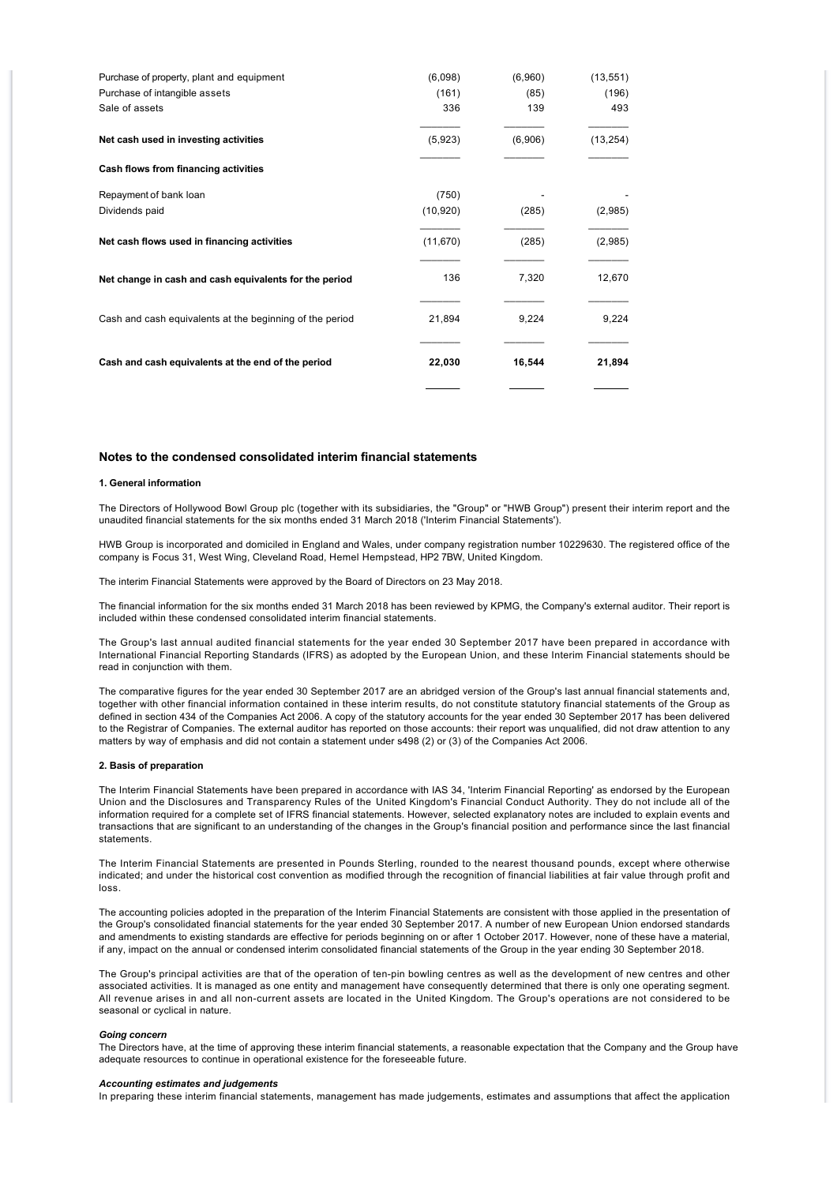| Purchase of property, plant and equipment                | (6,098)   | (6,960) | (13, 551) |
|----------------------------------------------------------|-----------|---------|-----------|
| Purchase of intangible assets                            | (161)     | (85)    | (196)     |
| Sale of assets                                           | 336       | 139     | 493       |
| Net cash used in investing activities                    | (5,923)   | (6,906) | (13, 254) |
| Cash flows from financing activities                     |           |         |           |
| Repayment of bank loan                                   | (750)     |         |           |
| Dividends paid                                           | (10, 920) | (285)   | (2,985)   |
| Net cash flows used in financing activities              | (11, 670) | (285)   | (2,985)   |
| Net change in cash and cash equivalents for the period   | 136       | 7,320   | 12,670    |
| Cash and cash equivalents at the beginning of the period | 21,894    | 9,224   | 9,224     |
| Cash and cash equivalents at the end of the period       | 22,030    | 16,544  | 21,894    |
|                                                          |           |         |           |

# **Notes to the condensed consolidated interim financial statements**

# **1. General information**

The Directors of Hollywood Bowl Group plc (together with its subsidiaries, the "Group" or "HWB Group") present their interim report and the unaudited financial statements for the six months ended 31 March 2018 ('Interim Financial Statements').

HWB Group is incorporated and domiciled in England and Wales, under company registration number 10229630. The registered office of the company is Focus 31, West Wing, Cleveland Road, Hemel Hempstead, HP2 7BW, United Kingdom.

The interim Financial Statements were approved by the Board of Directors on 23 May 2018.

The financial information for the six months ended 31 March 2018 has been reviewed by KPMG, the Company's external auditor. Their report is included within these condensed consolidated interim financial statements.

The Group's last annual audited financial statements for the year ended 30 September 2017 have been prepared in accordance with International Financial Reporting Standards (IFRS) as adopted by the European Union, and these Interim Financial statements should be read in conjunction with them.

The comparative figures for the year ended 30 September 2017 are an abridged version of the Group's last annual financial statements and, together with other financial information contained in these interim results, do not constitute statutory financial statements of the Group as defined in section 434 of the Companies Act 2006. A copy of the statutory accounts for the year ended 30 September 2017 has been delivered to the Registrar of Companies. The external auditor has reported on those accounts: their report was unqualified, did not draw attention to any matters by way of emphasis and did not contain a statement under s498 (2) or (3) of the Companies Act 2006.

### **2. Basis of preparation**

The Interim Financial Statements have been prepared in accordance with IAS 34, 'Interim Financial Reporting' as endorsed by the European Union and the Disclosures and Transparency Rules of the United Kingdom's Financial Conduct Authority. They do not include all of the information required for a complete set of IFRS financial statements. However, selected explanatory notes are included to explain events and transactions that are significant to an understanding of the changes in the Group's financial position and performance since the last financial statements.

The Interim Financial Statements are presented in Pounds Sterling, rounded to the nearest thousand pounds, except where otherwise indicated; and under the historical cost convention as modified through the recognition of financial liabilities at fair value through profit and loss.

The accounting policies adopted in the preparation of the Interim Financial Statements are consistent with those applied in the presentation of the Group's consolidated financial statements for the year ended 30 September 2017. A number of new European Union endorsed standards and amendments to existing standards are effective for periods beginning on or after 1 October 2017. However, none of these have a material, if any, impact on the annual or condensed interim consolidated financial statements of the Group in the year ending 30 September 2018.

The Group's principal activities are that of the operation of ten-pin bowling centres as well as the development of new centres and other associated activities. It is managed as one entity and management have consequently determined that there is only one operating segment. All revenue arises in and all non-current assets are located in the United Kingdom. The Group's operations are not considered to be seasonal or cyclical in nature.

#### *Going concern*

The Directors have, at the time of approving these interim financial statements, a reasonable expectation that the Company and the Group have adequate resources to continue in operational existence for the foreseeable future.

### *Accounting estimates and judgements*

In preparing these interim financial statements, management has made judgements, estimates and assumptions that affect the application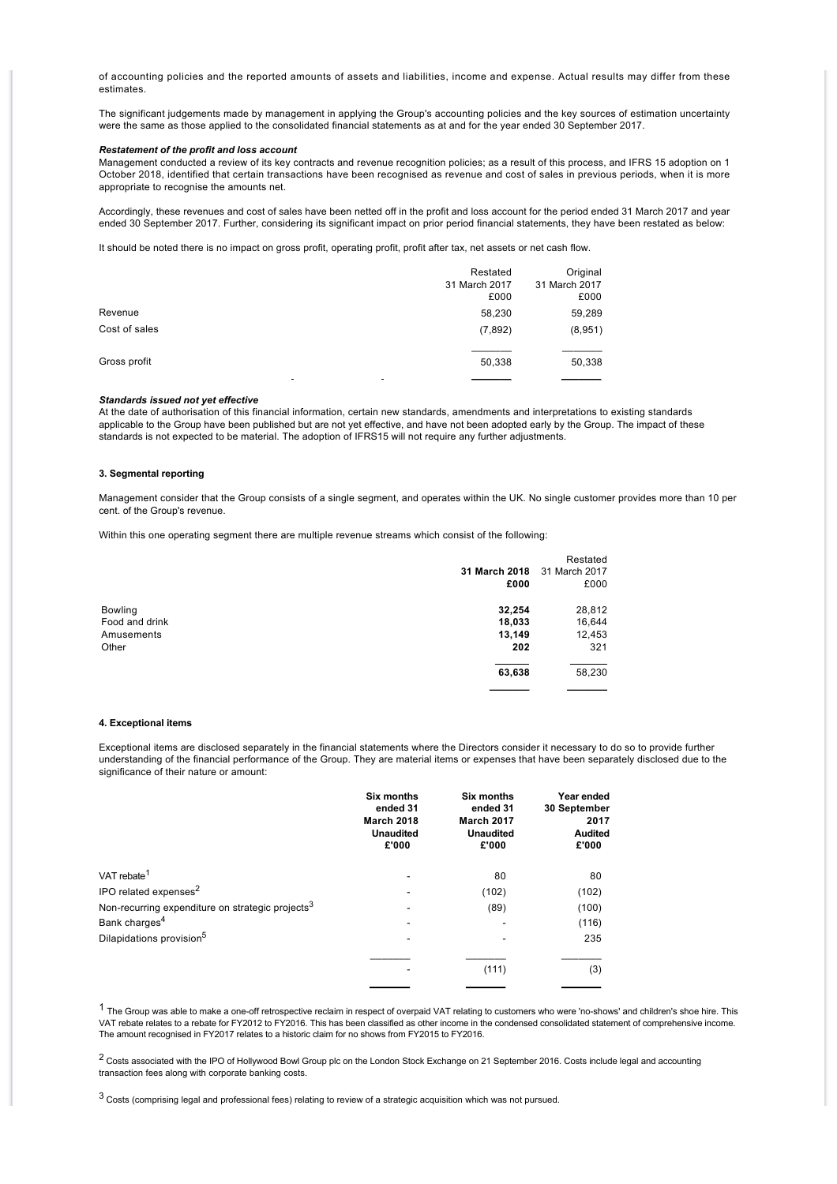of accounting policies and the reported amounts of assets and liabilities, income and expense. Actual results may differ from these estimates.

The significant judgements made by management in applying the Group's accounting policies and the key sources of estimation uncertainty were the same as those applied to the consolidated financial statements as at and for the year ended 30 September 2017.

# *Restatement of the profit and loss account*

Management conducted a review of its key contracts and revenue recognition policies; as a result of this process, and IFRS 15 adoption on 1 October 2018, identified that certain transactions have been recognised as revenue and cost of sales in previous periods, when it is more appropriate to recognise the amounts net.

Accordingly, these revenues and cost of sales have been netted off in the profit and loss account for the period ended 31 March 2017 and year ended 30 September 2017. Further, considering its significant impact on prior period financial statements, they have been restated as below:

It should be noted there is no impact on gross profit, operating profit, profit after tax, net assets or net cash flow.

|                                          | Restated<br>31 March 2017<br>£000 | Original<br>31 March 2017<br>£000 |
|------------------------------------------|-----------------------------------|-----------------------------------|
| Revenue                                  | 58,230                            | 59,289                            |
| Cost of sales                            | (7,892)                           | (8,951)                           |
| Gross profit<br>$\overline{\phantom{a}}$ | 50,338                            | 50,338                            |

#### *Standards issued not yet effective*

At the date of authorisation of this financial information, certain new standards, amendments and interpretations to existing standards applicable to the Group have been published but are not yet effective, and have not been adopted early by the Group. The impact of these standards is not expected to be material. The adoption of IFRS15 will not require any further adjustments.

#### **3. Segmental reporting**

Management consider that the Group consists of a single segment, and operates within the UK. No single customer provides more than 10 per cent. of the Group's revenue.

Within this one operating segment there are multiple revenue streams which consist of the following:

|                |               | Restated      |
|----------------|---------------|---------------|
|                | 31 March 2018 | 31 March 2017 |
|                | £000          | £000          |
| <b>Bowling</b> | 32,254        | 28,812        |
| Food and drink | 18,033        | 16,644        |
| Amusements     | 13,149        | 12,453        |
| Other          | 202           | 321           |
|                | 63,638        | 58,230        |
|                |               |               |

#### **4. Exceptional items**

Exceptional items are disclosed separately in the financial statements where the Directors consider it necessary to do so to provide further understanding of the financial performance of the Group. They are material items or expenses that have been separately disclosed due to the significance of their nature or amount:

|                                                              | Six months<br>ended 31<br><b>March 2018</b><br><b>Unaudited</b><br>£'000 | Six months<br>ended 31<br><b>March 2017</b><br><b>Unaudited</b><br>£'000 | Year ended<br>30 September<br>2017<br><b>Audited</b><br>£'000 |
|--------------------------------------------------------------|--------------------------------------------------------------------------|--------------------------------------------------------------------------|---------------------------------------------------------------|
| VAT rebate <sup>1</sup>                                      |                                                                          | 80                                                                       | 80                                                            |
| IPO related expenses <sup>2</sup>                            |                                                                          | (102)                                                                    | (102)                                                         |
| Non-recurring expenditure on strategic projects <sup>3</sup> |                                                                          | (89)                                                                     | (100)                                                         |
| Bank charges <sup>4</sup>                                    |                                                                          |                                                                          | (116)                                                         |
| Dilapidations provision <sup>5</sup>                         |                                                                          |                                                                          | 235                                                           |
|                                                              |                                                                          | (111)                                                                    | (3)                                                           |

 $1$  The Group was able to make a one-off retrospective reclaim in respect of overpaid VAT relating to customers who were 'no-shows' and children's shoe hire. This VAT rebate relates to a rebate for FY2012 to FY2016. This has been classified as other income in the condensed consolidated statement of comprehensive income. The amount recognised in FY2017 relates to a historic claim for no shows from FY2015 to FY2016.

<sup>2</sup> Costs associated with the IPO of Hollywood Bowl Group plc on the London Stock Exchange on 21 September 2016. Costs include legal and accounting transaction fees along with corporate banking costs.

 $3$  Costs (comprising legal and professional fees) relating to review of a strategic acquisition which was not pursued.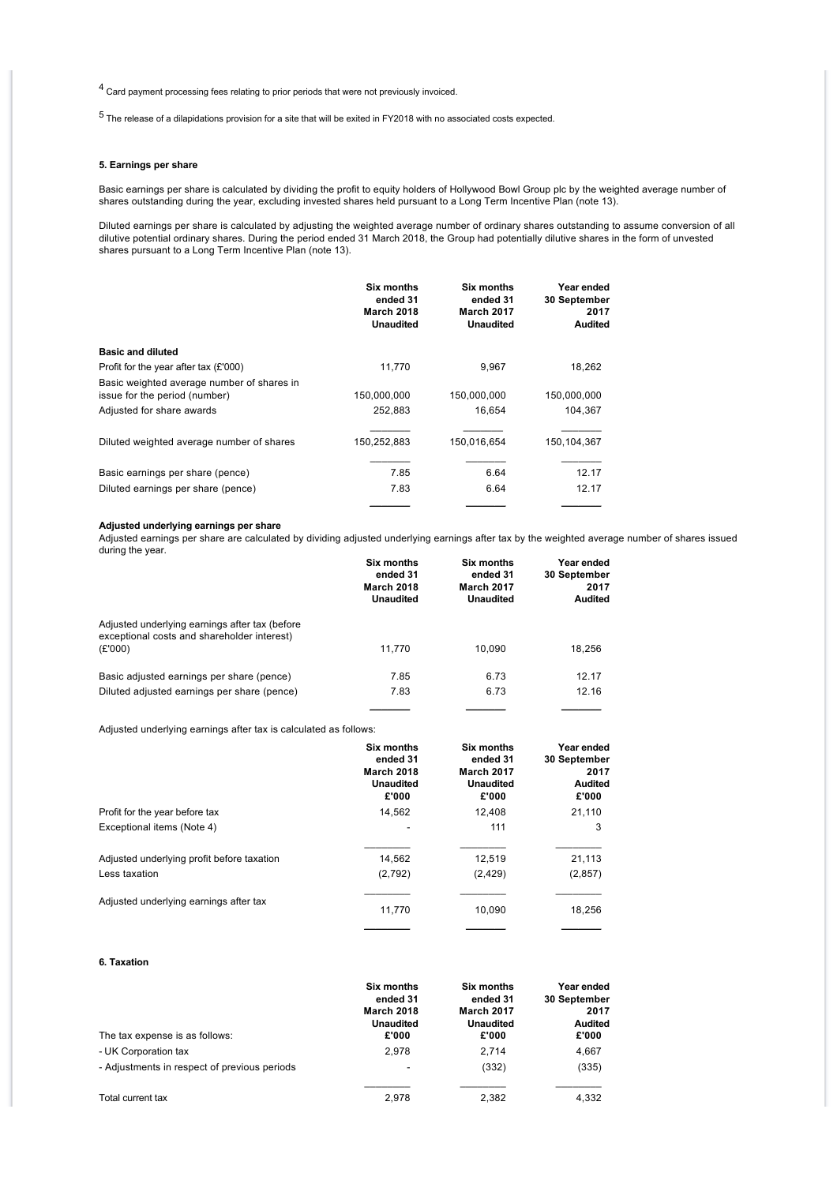4 Card payment processing fees relating to prior periods that were not previously invoiced.

5 The release of a dilapidations provision for a site that will be exited in FY2018 with no associated costs expected.

# **5. Earnings per share**

Basic earnings per share is calculated by dividing the profit to equity holders of Hollywood Bowl Group plc by the weighted average number of shares outstanding during the year, excluding invested shares held pursuant to a Long Term Incentive Plan (note 13).

Diluted earnings per share is calculated by adjusting the weighted average number of ordinary shares outstanding to assume conversion of all dilutive potential ordinary shares. During the period ended 31 March 2018, the Group had potentially dilutive shares in the form of unvested shares pursuant to a Long Term Incentive Plan (note 13).

|                                                                             | <b>Six months</b><br>ended 31<br><b>March 2018</b><br>Unaudited | Six months<br>ended 31<br><b>March 2017</b><br><b>Unaudited</b> | Year ended<br>30 September<br>2017<br><b>Audited</b> |
|-----------------------------------------------------------------------------|-----------------------------------------------------------------|-----------------------------------------------------------------|------------------------------------------------------|
| <b>Basic and diluted</b>                                                    |                                                                 |                                                                 |                                                      |
| Profit for the year after tax $(E'000)$                                     | 11.770                                                          | 9,967                                                           | 18,262                                               |
| Basic weighted average number of shares in<br>issue for the period (number) | 150,000,000                                                     | 150,000,000                                                     | 150,000,000                                          |
| Adjusted for share awards                                                   | 252.883                                                         | 16.654                                                          | 104.367                                              |
| Diluted weighted average number of shares                                   | 150,252,883                                                     | 150,016,654                                                     | 150,104,367                                          |
| Basic earnings per share (pence)                                            | 7.85                                                            | 6.64                                                            | 12.17                                                |
| Diluted earnings per share (pence)                                          | 7.83                                                            | 6.64                                                            | 12.17                                                |
|                                                                             |                                                                 |                                                                 |                                                      |

# **Adjusted underlying earnings per share**

Adjusted earnings per share are calculated by dividing adjusted underlying earnings after tax by the weighted average number of shares issued during the year.

|                                                                                                          | <b>Six months</b><br>ended 31<br><b>March 2018</b><br><b>Unaudited</b> | <b>Six months</b><br>ended 31<br><b>March 2017</b><br><b>Unaudited</b> | Year ended<br>30 September<br>2017<br><b>Audited</b> |
|----------------------------------------------------------------------------------------------------------|------------------------------------------------------------------------|------------------------------------------------------------------------|------------------------------------------------------|
| Adjusted underlying earnings after tax (before<br>exceptional costs and shareholder interest)<br>(E'000) | 11.770                                                                 | 10.090                                                                 | 18.256                                               |
| Basic adjusted earnings per share (pence)                                                                | 7.85                                                                   | 6.73                                                                   | 12.17                                                |
| Diluted adjusted earnings per share (pence)                                                              | 7.83                                                                   | 6.73                                                                   | 12.16                                                |
|                                                                                                          |                                                                        |                                                                        |                                                      |

Adjusted underlying earnings after tax is calculated as follows:

| ended 31<br><b>March 2018</b><br><b>Unaudited</b><br>£'000 | ended 31<br><b>March 2017</b><br><b>Unaudited</b><br>£'000 | Year ended<br>30 September<br>2017<br><b>Audited</b><br>£'000 |
|------------------------------------------------------------|------------------------------------------------------------|---------------------------------------------------------------|
| 14,562                                                     | 12,408                                                     | 21,110                                                        |
|                                                            | 111                                                        | 3                                                             |
| 14,562                                                     | 12,519                                                     | 21,113                                                        |
| (2,792)                                                    | (2, 429)                                                   | (2, 857)                                                      |
| 11.770                                                     | 10.090                                                     | 18,256                                                        |
|                                                            | Six months                                                 | <b>Six months</b>                                             |

# **6. Taxation**

|                                              | <b>Six months</b><br>ended 31<br><b>March 2018</b><br><b>Unaudited</b><br>£'000 | <b>Six months</b><br>ended 31<br><b>March 2017</b><br><b>Unaudited</b> | Year ended<br>30 September<br>2017<br><b>Audited</b><br>£'000 |
|----------------------------------------------|---------------------------------------------------------------------------------|------------------------------------------------------------------------|---------------------------------------------------------------|
| The tax expense is as follows:               |                                                                                 | £'000                                                                  |                                                               |
| - UK Corporation tax                         | 2.978                                                                           | 2.714                                                                  | 4,667                                                         |
| - Adjustments in respect of previous periods | ۰                                                                               | (332)                                                                  | (335)                                                         |
|                                              |                                                                                 |                                                                        |                                                               |
| Total current tax                            | 2.978                                                                           | 2.382                                                                  | 4.332                                                         |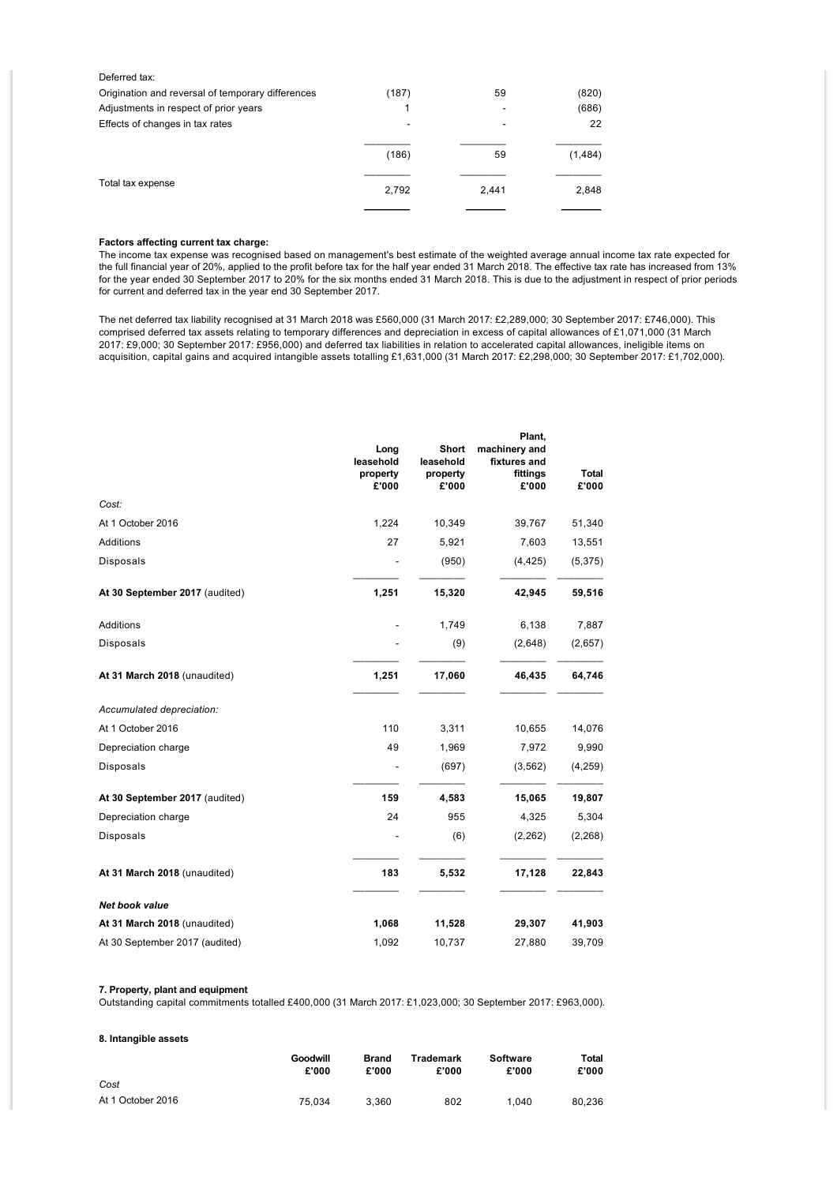| Deferred tax:                                     |       |       |         |
|---------------------------------------------------|-------|-------|---------|
| Origination and reversal of temporary differences | (187) | 59    | (820)   |
| Adjustments in respect of prior years             |       |       | (686)   |
| Effects of changes in tax rates                   | ۰     | -     | 22      |
|                                                   |       |       |         |
|                                                   | (186) | 59    | (1,484) |
|                                                   |       |       |         |
| Total tax expense                                 | 2,792 | 2.441 | 2,848   |
|                                                   |       |       |         |

# **Factors affecting current tax charge:**

The income tax expense was recognised based on management's best estimate of the weighted average annual income tax rate expected for the full financial year of 20%, applied to the profit before tax for the half year ended 31 March 2018. The effective tax rate has increased from 13% for the year ended 30 September 2017 to 20% for the six months ended 31 March 2018. This is due to the adjustment in respect of prior periods for current and deferred tax in the year end 30 September 2017.

The net deferred tax liability recognised at 31 March 2018 was £560,000 (31 March 2017: £2,289,000; 30 September 2017: £746,000). This comprised deferred tax assets relating to temporary differences and depreciation in excess of capital allowances of £1,071,000 (31 March 2017: £9,000; 30 September 2017: £956,000) and deferred tax liabilities in relation to accelerated capital allowances, ineligible items on acquisition, capital gains and acquired intangible assets totalling £1,631,000 (31 March 2017: £2,298,000; 30 September 2017: £1,702,000).

|                                | Long<br>leasehold<br>property<br>£'000 | Short<br>leasehold<br>property<br>£'000 | Plant,<br>machinery and<br>fixtures and<br>fittings<br>£'000 | <b>Total</b><br>£'000 |
|--------------------------------|----------------------------------------|-----------------------------------------|--------------------------------------------------------------|-----------------------|
| Cost:                          |                                        |                                         |                                                              |                       |
| At 1 October 2016              | 1,224                                  | 10,349                                  | 39,767                                                       | 51,340                |
| Additions                      | 27                                     | 5,921                                   | 7,603                                                        | 13,551                |
| Disposals                      |                                        | (950)                                   | (4, 425)                                                     | (5, 375)              |
| At 30 September 2017 (audited) | 1,251                                  | 15,320                                  | 42,945                                                       | 59,516                |
| Additions                      |                                        | 1,749                                   | 6,138                                                        | 7,887                 |
| Disposals                      |                                        | (9)                                     | (2,648)                                                      | (2,657)               |
| At 31 March 2018 (unaudited)   | 1,251                                  | 17,060                                  | 46,435                                                       | 64,746                |
| Accumulated depreciation:      |                                        |                                         |                                                              |                       |
| At 1 October 2016              | 110                                    | 3,311                                   | 10,655                                                       | 14,076                |
| Depreciation charge            | 49                                     | 1,969                                   | 7,972                                                        | 9,990                 |
| Disposals                      |                                        | (697)                                   | (3, 562)                                                     | (4, 259)              |
| At 30 September 2017 (audited) | 159                                    | 4,583                                   | 15,065                                                       | 19,807                |
| Depreciation charge            | 24                                     | 955                                     | 4,325                                                        | 5,304                 |
| Disposals                      |                                        | (6)                                     | (2, 262)                                                     | (2, 268)              |
| At 31 March 2018 (unaudited)   | 183                                    | 5,532                                   | 17,128                                                       | 22,843                |
| Net book value                 |                                        |                                         |                                                              |                       |
| At 31 March 2018 (unaudited)   | 1,068                                  | 11,528                                  | 29,307                                                       | 41,903                |
| At 30 September 2017 (audited) | 1,092                                  | 10,737                                  | 27,880                                                       | 39,709                |

# **7. Property, plant and equipment**

Outstanding capital commitments totalled £400,000 (31 March 2017: £1,023,000; 30 September 2017: £963,000).

| 8. Intangible assets |                   |                       |                    |                          |                |
|----------------------|-------------------|-----------------------|--------------------|--------------------------|----------------|
|                      | Goodwill<br>£'000 | <b>Brand</b><br>£'000 | Trademark<br>£'000 | <b>Software</b><br>£'000 | Total<br>£'000 |
| Cost                 |                   |                       |                    |                          |                |
| At 1 October 2016    | 75.034            | 3.360                 | 802                | 1.040                    | 80.236         |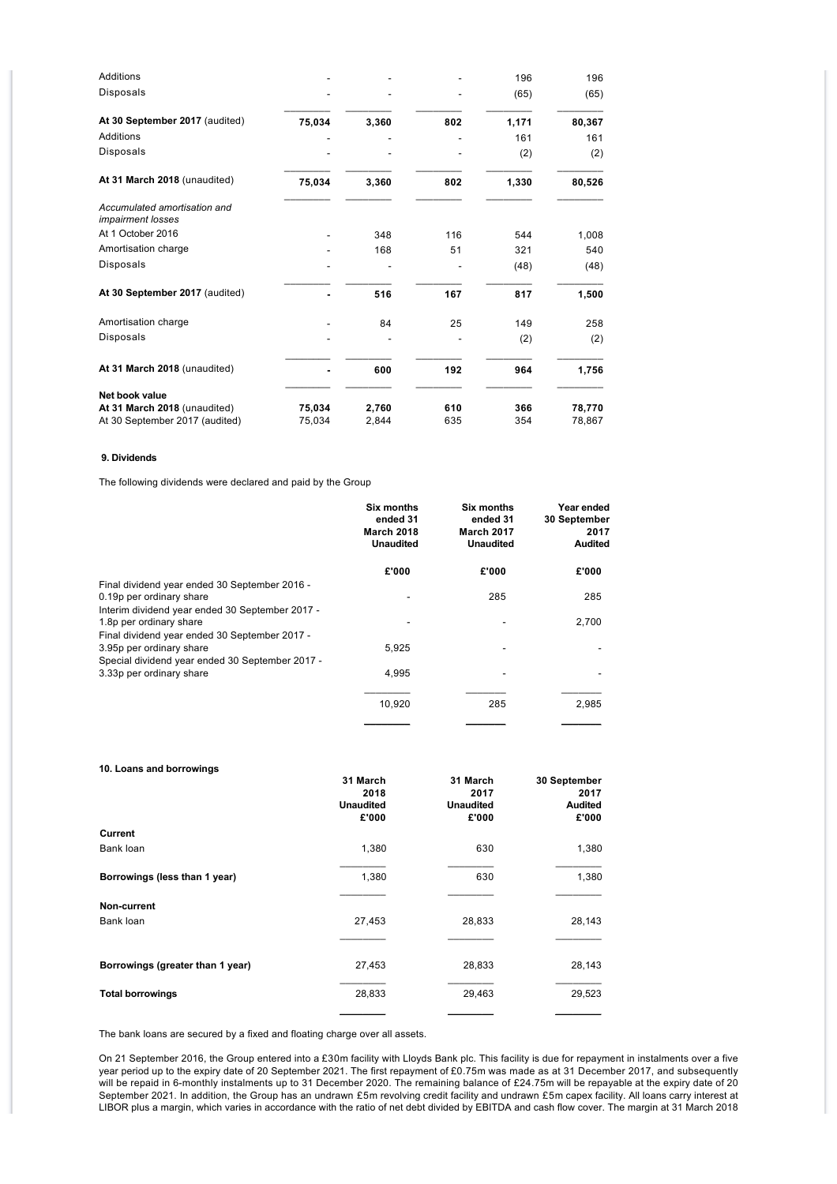| Additions                                                |        |       |     | 196   | 196    |
|----------------------------------------------------------|--------|-------|-----|-------|--------|
| Disposals                                                |        |       |     | (65)  | (65)   |
| At 30 September 2017 (audited)                           | 75,034 | 3,360 | 802 | 1,171 | 80,367 |
| Additions                                                |        |       |     | 161   | 161    |
| Disposals                                                |        |       |     | (2)   | (2)    |
| At 31 March 2018 (unaudited)                             | 75,034 | 3,360 | 802 | 1,330 | 80,526 |
| Accumulated amortisation and<br><i>impairment losses</i> |        |       |     |       |        |
| At 1 October 2016                                        |        | 348   | 116 | 544   | 1,008  |
| Amortisation charge                                      |        | 168   | 51  | 321   | 540    |
| Disposals                                                |        |       |     | (48)  | (48)   |
| At 30 September 2017 (audited)                           |        | 516   | 167 | 817   | 1,500  |
| Amortisation charge                                      |        | 84    | 25  | 149   | 258    |
| Disposals                                                |        |       |     | (2)   | (2)    |
| At 31 March 2018 (unaudited)                             |        | 600   | 192 | 964   | 1,756  |
| Net book value                                           |        |       |     |       |        |
| At 31 March 2018 (unaudited)                             | 75,034 | 2,760 | 610 | 366   | 78,770 |
| At 30 September 2017 (audited)                           | 75,034 | 2,844 | 635 | 354   | 78,867 |

# **9. Dividends**

The following dividends were declared and paid by the Group

|                                                 | <b>Six months</b><br>ended 31<br><b>March 2018</b><br><b>Unaudited</b> | Six months<br>ended 31<br><b>March 2017</b><br><b>Unaudited</b> | Year ended<br>30 September<br>2017<br>Audited |
|-------------------------------------------------|------------------------------------------------------------------------|-----------------------------------------------------------------|-----------------------------------------------|
|                                                 | £'000                                                                  | £'000                                                           | £'000                                         |
| Final dividend year ended 30 September 2016 -   |                                                                        |                                                                 |                                               |
| 0.19p per ordinary share                        |                                                                        | 285                                                             | 285                                           |
| Interim dividend year ended 30 September 2017 - |                                                                        |                                                                 |                                               |
| 1.8p per ordinary share                         |                                                                        |                                                                 | 2,700                                         |
| Final dividend year ended 30 September 2017 -   |                                                                        |                                                                 |                                               |
| 3.95p per ordinary share                        | 5,925                                                                  |                                                                 |                                               |
| Special dividend year ended 30 September 2017 - |                                                                        |                                                                 |                                               |
| 3.33p per ordinary share                        | 4,995                                                                  |                                                                 |                                               |
|                                                 | 10,920                                                                 | 285                                                             | 2,985                                         |
|                                                 |                                                                        |                                                                 |                                               |
|                                                 |                                                                        |                                                                 |                                               |

| 10. Loans and borrowings         |                           |                           |                         |
|----------------------------------|---------------------------|---------------------------|-------------------------|
|                                  | 31 March<br>2018          | 31 March<br>2017          | 30 September<br>2017    |
|                                  | <b>Unaudited</b><br>£'000 | <b>Unaudited</b><br>£'000 | <b>Audited</b><br>£'000 |
| Current                          |                           |                           |                         |
| Bank loan                        | 1,380                     | 630                       | 1,380                   |
| Borrowings (less than 1 year)    | 1,380                     | 630                       | 1,380                   |
| Non-current                      |                           |                           |                         |
| Bank loan                        | 27,453                    | 28,833                    | 28,143                  |
|                                  |                           |                           |                         |
| Borrowings (greater than 1 year) | 27,453                    | 28,833                    | 28,143                  |
| <b>Total borrowings</b>          | 28,833                    | 29,463                    | 29,523                  |
|                                  |                           |                           |                         |

The bank loans are secured by a fixed and floating charge over all assets.

On 21 September 2016, the Group entered into a £30m facility with Lloyds Bank plc. This facility is due for repayment in instalments over a five year period up to the expiry date of 20 September 2021. The first repayment of £0.75m was made as at 31 December 2017, and subsequently will be repaid in 6-monthly instalments up to 31 December 2020. The remaining balance of £24.75m will be repayable at the expiry date of 20 September 2021. In addition, the Group has an undrawn £5m revolving credit facility and undrawn £5m capex facility. All loans carry interest at LIBOR plus a margin, which varies in accordance with the ratio of net debt divided by EBITDA and cash flow cover. The margin at 31 March 2018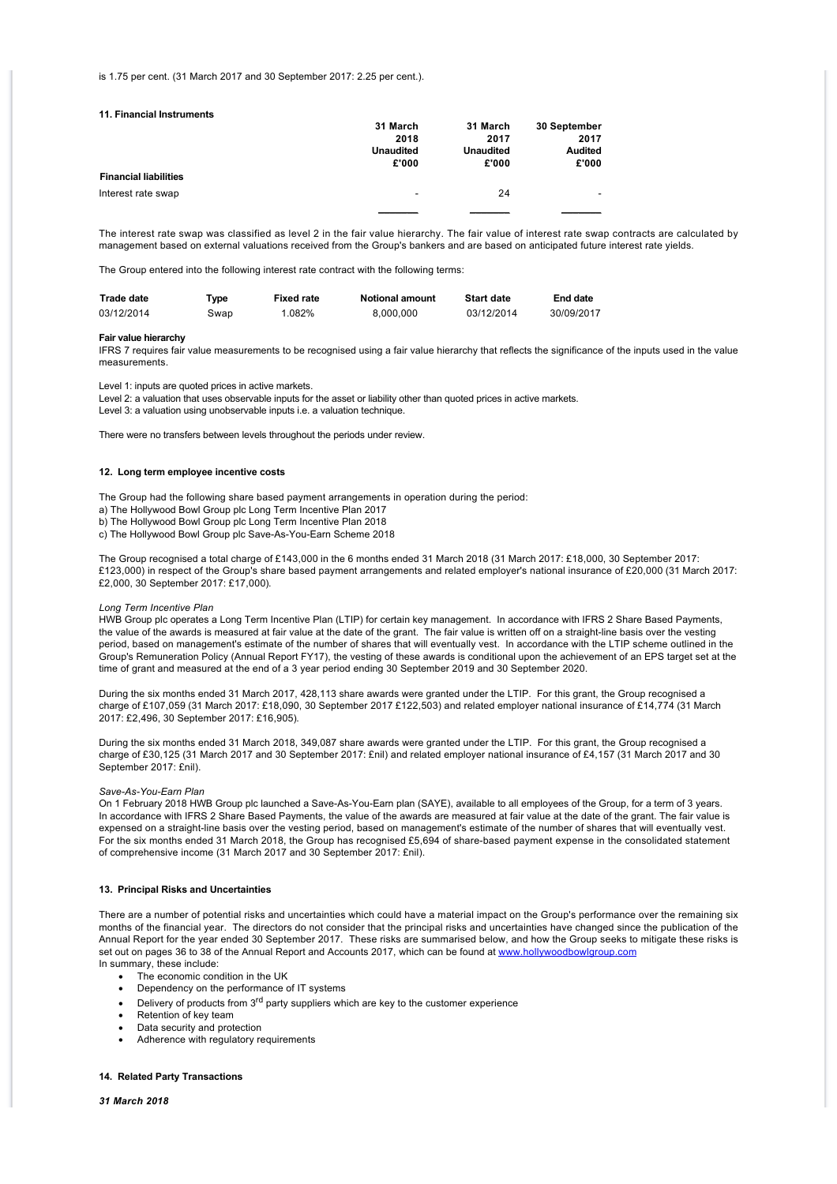#### is 1.75 per cent. (31 March 2017 and 30 September 2017: 2.25 per cent.).

| 11. Financial Instruments    |                          |                          |                        |
|------------------------------|--------------------------|--------------------------|------------------------|
|                              | 31 March                 | 31 March                 | 30 September           |
|                              | 2018<br><b>Unaudited</b> | 2017<br><b>Unaudited</b> | 2017<br><b>Audited</b> |
|                              |                          |                          |                        |
|                              | £'000                    | £'000                    | £'000                  |
| <b>Financial liabilities</b> |                          |                          |                        |
| Interest rate swap           | ۰                        | 24                       |                        |
|                              |                          |                          |                        |

The interest rate swap was classified as level 2 in the fair value hierarchy. The fair value of interest rate swap contracts are calculated by management based on external valuations received from the Group's bankers and are based on anticipated future interest rate yields.

The Group entered into the following interest rate contract with the following terms:

| <b>Trade date</b> | "vpe | <b>Fixed rate</b> | <b>Notional amount</b> | <b>Start date</b> | End date   |
|-------------------|------|-------------------|------------------------|-------------------|------------|
| 03/12/2014        | 3wap | $.082\%$          | 8.000.000              | 03/12/2014        | 30/09/2017 |

#### **Fair value hierarchy**

IFRS 7 requires fair value measurements to be recognised using a fair value hierarchy that reflects the significance of the inputs used in the value measurements.

Level 1: inputs are quoted prices in active markets.

Level 2: a valuation that uses observable inputs for the asset or liability other than quoted prices in active markets.

Level 3: a valuation using unobservable inputs i.e. a valuation technique.

There were no transfers between levels throughout the periods under review.

#### **12. Long term employee incentive costs**

The Group had the following share based payment arrangements in operation during the period: a) The Hollywood Bowl Group plc Long Term Incentive Plan 2017 b) The Hollywood Bowl Group plc Long Term Incentive Plan 2018 c) The Hollywood Bowl Group plc Save-As-You-Earn Scheme 2018

The Group recognised a total charge of £143,000 in the 6 months ended 31 March 2018 (31 March 2017: £18,000, 30 September 2017: £123,000) in respect of the Group's share based payment arrangements and related employer's national insurance of £20,000 (31 March 2017: £2,000, 30 September 2017: £17,000).

### *Long Term Incentive Plan*

HWB Group plc operates a Long Term Incentive Plan (LTIP) for certain key management. In accordance with IFRS 2 Share Based Payments, the value of the awards is measured at fair value at the date of the grant. The fair value is written off on a straight-line basis over the vesting period, based on management's estimate of the number of shares that will eventually vest. In accordance with the LTIP scheme outlined in the Group's Remuneration Policy (Annual Report FY17), the vesting of these awards is conditional upon the achievement of an EPS target set at the time of grant and measured at the end of a 3 year period ending 30 September 2019 and 30 September 2020.

During the six months ended 31 March 2017, 428,113 share awards were granted under the LTIP. For this grant, the Group recognised a charge of £107,059 (31 March 2017: £18,090, 30 September 2017 £122,503) and related employer national insurance of £14,774 (31 March 2017: £2,496, 30 September 2017: £16,905).

During the six months ended 31 March 2018, 349,087 share awards were granted under the LTIP. For this grant, the Group recognised a charge of £30,125 (31 March 2017 and 30 September 2017: £nil) and related employer national insurance of £4,157 (31 March 2017 and 30 September 2017: £nil).

#### *Save-As-You-Earn Plan*

On 1 February 2018 HWB Group plc launched a Save-As-You-Earn plan (SAYE), available to all employees of the Group, for a term of 3 years. In accordance with IFRS 2 Share Based Payments, the value of the awards are measured at fair value at the date of the grant. The fair value is expensed on a straight-line basis over the vesting period, based on management's estimate of the number of shares that will eventually vest. For the six months ended 31 March 2018, the Group has recognised £5,694 of share-based payment expense in the consolidated statement of comprehensive income (31 March 2017 and 30 September 2017: £nil).

### **13. Principal Risks and Uncertainties**

There are a number of potential risks and uncertainties which could have a material impact on the Group's performance over the remaining six months of the financial year. The directors do not consider that the principal risks and uncertainties have changed since the publication of the Annual Report for the year ended 30 September 2017. These risks are summarised below, and how the Group seeks to mitigate these risks is set out on pages 36 to 38 of the Annual Report and Accounts 2017, which can be found at [www.hollywoodbowlgroup.com](http://www.hollywoodbowlgroup.com) In summary, these include:

- The economic condition in the UK
- · Dependency on the performance of IT systems
- Delivery of products from 3<sup>rd</sup> party suppliers which are key to the customer experience
- Retention of key team
- Data security and protection
- Adherence with regulatory requirements

### **14. Related Party Transactions**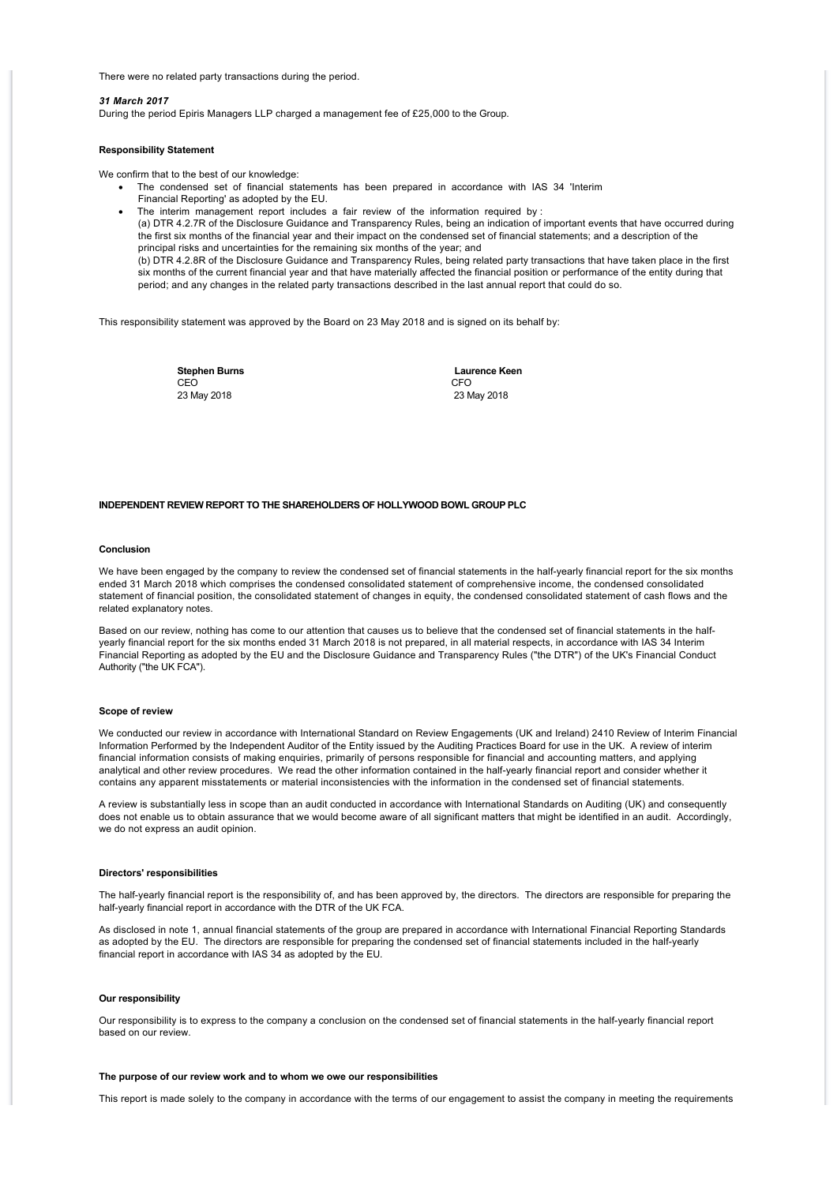There were no related party transactions during the period.

#### *31 March 2017*

During the period Epiris Managers LLP charged a management fee of £25,000 to the Group.

### **Responsibility Statement**

We confirm that to the best of our knowledge:

The condensed set of financial statements has been prepared in accordance with IAS 34 'Interim

- Financial Reporting' as adopted by the EU.
- The interim management report includes a fair review of the information required by :

(a) DTR 4.2.7R of the Disclosure Guidance and Transparency Rules, being an indication of important events that have occurred during the first six months of the financial year and their impact on the condensed set of financial statements; and a description of the principal risks and uncertainties for the remaining six months of the year; and (b) DTR 4.2.8R of the Disclosure Guidance and Transparency Rules, being related party transactions that have taken place in the first six months of the current financial year and that have materially affected the financial position or performance of the entity during that period; and any changes in the related party transactions described in the last annual report that could do so.

This responsibility statement was approved by the Board on 23 May 2018 and is signed on its behalf by:

CEO CEO CHE ANNO 1999, CHE ANNO 1999, CHE ANNO 1999, CHE ANNO 1999, CHE ANNO 1999, CHE ANNO 1999, CHE ANNO 199 23 May 2018 23 May 2018

**Stephen Burns Laurence Keen**<br>CEO CEO

# **INDEPENDENT REVIEW REPORT TO THE SHAREHOLDERS OF HOLLYWOOD BOWL GROUP PLC**

# **Conclusion**

We have been engaged by the company to review the condensed set of financial statements in the half-yearly financial report for the six months ended 31 March 2018 which comprises the condensed consolidated statement of comprehensive income, the condensed consolidated statement of financial position, the consolidated statement of changes in equity, the condensed consolidated statement of cash flows and the related explanatory notes.

Based on our review, nothing has come to our attention that causes us to believe that the condensed set of financial statements in the halfyearly financial report for the six months ended 31 March 2018 is not prepared, in all material respects, in accordance with IAS 34 Interim Financial Reporting as adopted by the EU and the Disclosure Guidance and Transparency Rules ("the DTR") of the UK's Financial Conduct Authority ("the UK FCA").

#### **Scope of review**

We conducted our review in accordance with International Standard on Review Engagements (UK and Ireland) 2410 Review of Interim Financial Information Performed by the Independent Auditor of the Entity issued by the Auditing Practices Board for use in the UK. A review of interim financial information consists of making enquiries, primarily of persons responsible for financial and accounting matters, and applying analytical and other review procedures. We read the other information contained in the half-yearly financial report and consider whether it contains any apparent misstatements or material inconsistencies with the information in the condensed set of financial statements.

A review is substantially less in scope than an audit conducted in accordance with International Standards on Auditing (UK) and consequently does not enable us to obtain assurance that we would become aware of all significant matters that might be identified in an audit. Accordingly, we do not express an audit opinion.

#### **Directors' responsibilities**

The half-yearly financial report is the responsibility of, and has been approved by, the directors. The directors are responsible for preparing the half-yearly financial report in accordance with the DTR of the UK FCA.

As disclosed in note 1, annual financial statements of the group are prepared in accordance with International Financial Reporting Standards as adopted by the EU. The directors are responsible for preparing the condensed set of financial statements included in the half-yearly financial report in accordance with IAS 34 as adopted by the EU*.* 

#### **Our responsibility**

Our responsibility is to express to the company a conclusion on the condensed set of financial statements in the half-yearly financial report based on our review.

#### **The purpose of our review work and to whom we owe our responsibilities**

This report is made solely to the company in accordance with the terms of our engagement to assist the company in meeting the requirements